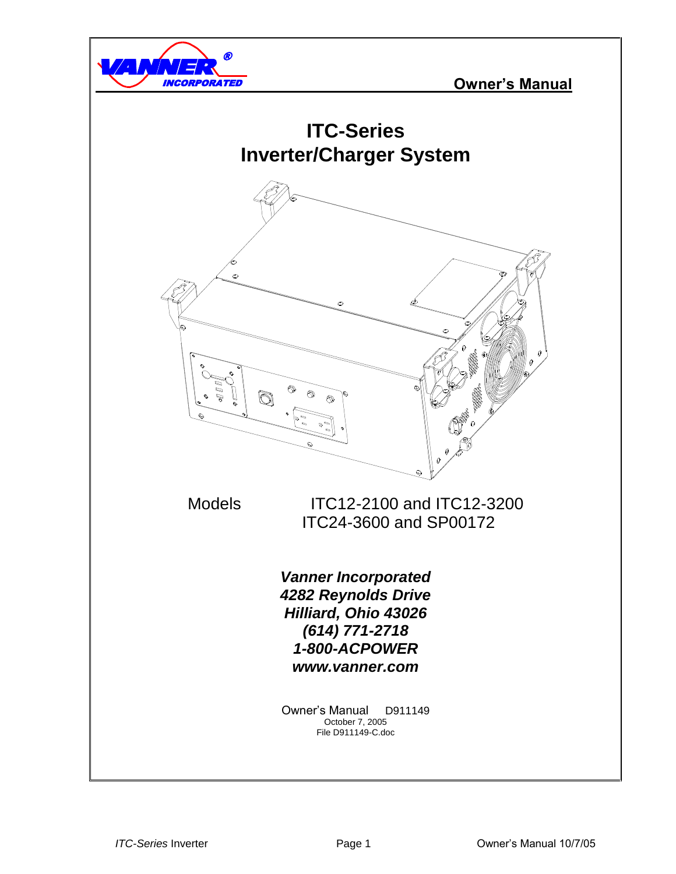

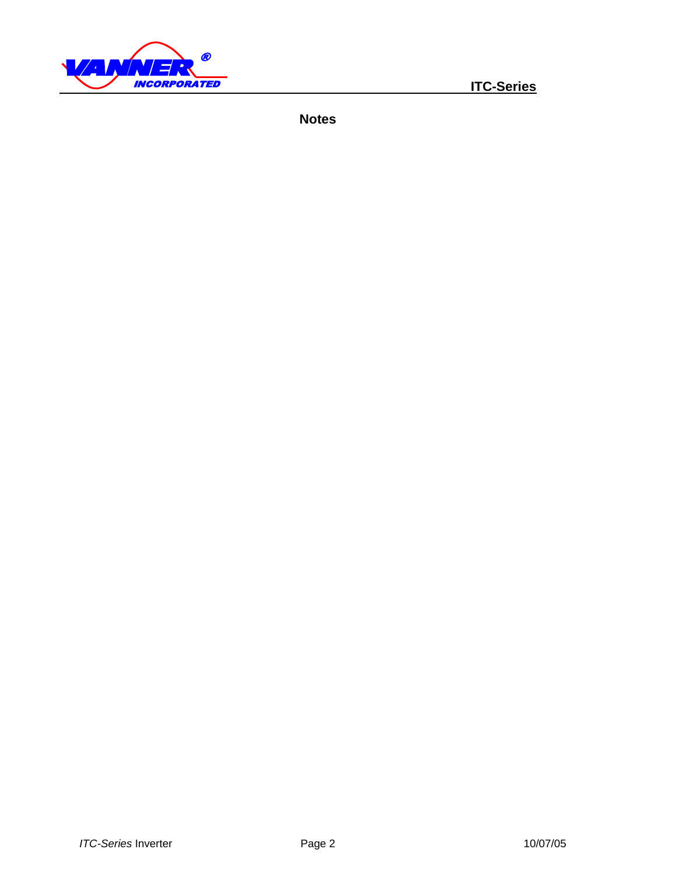

**ITC-Series**

**Notes**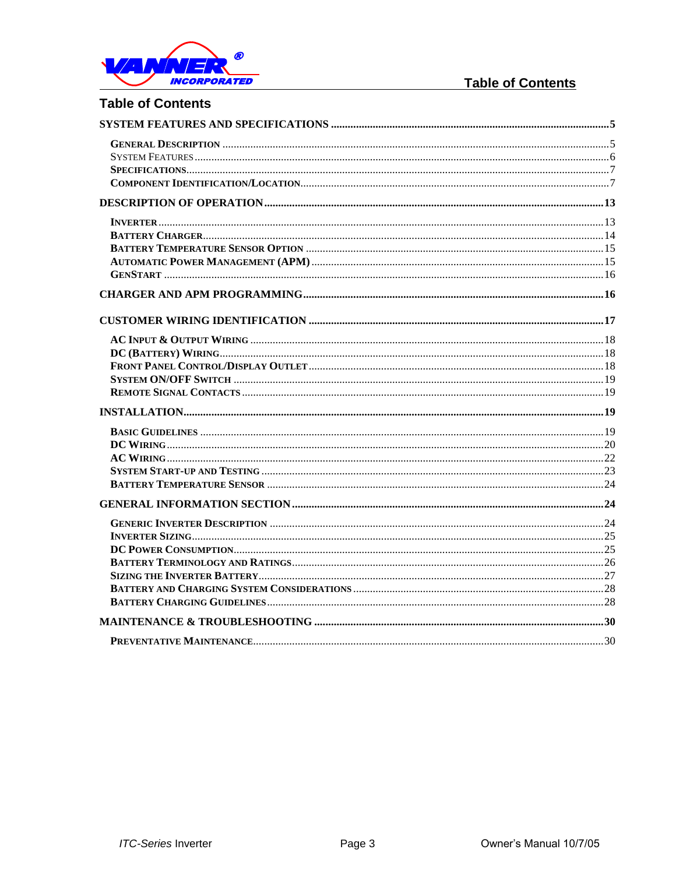

# **Table of Contents**

## **Table of Contents**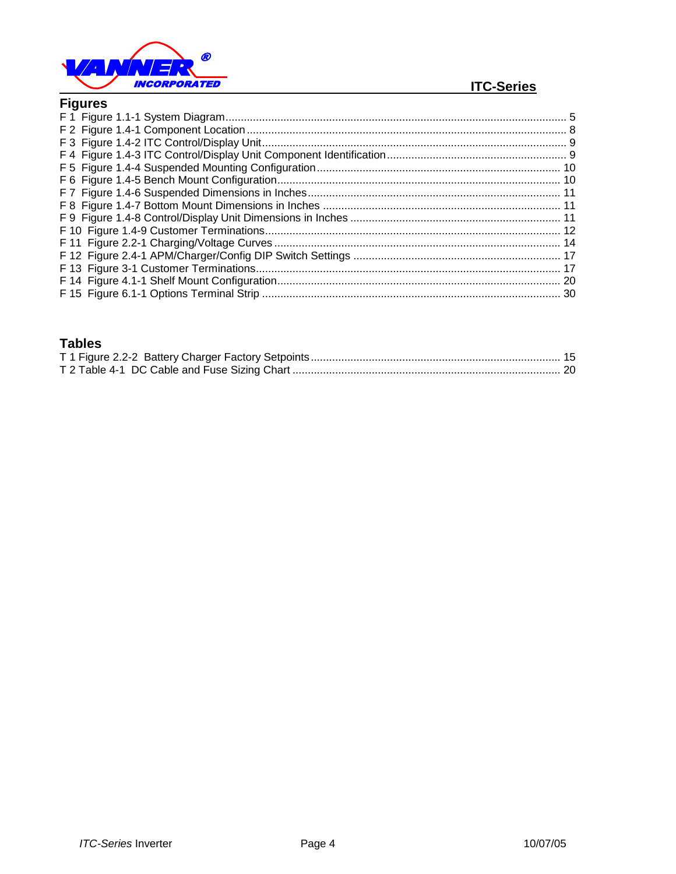

## **ITC-Series**

## **Figures**

## **Tables**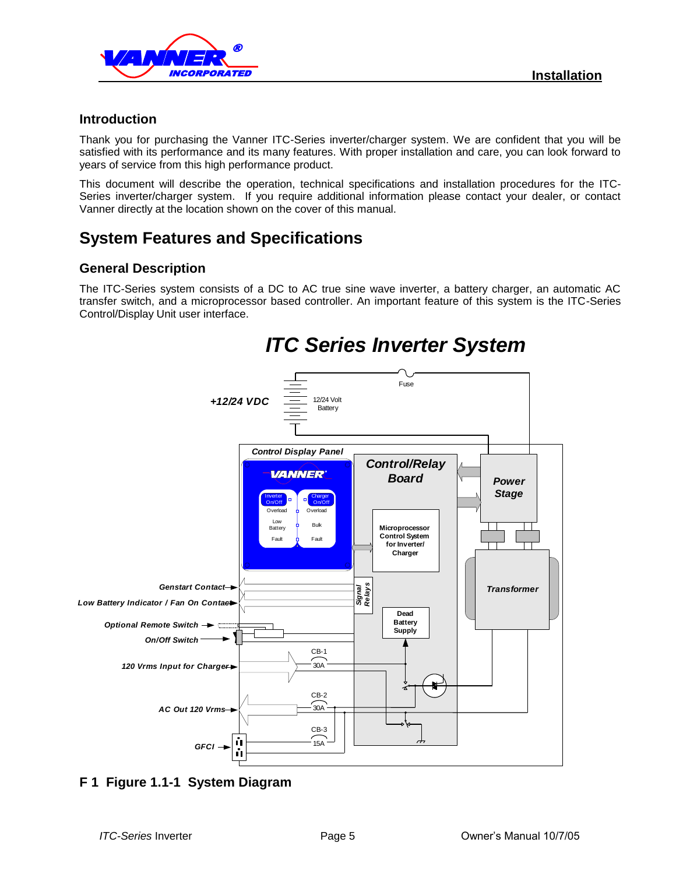

## **Introduction**

Thank you for purchasing the Vanner ITC-Series inverter/charger system. We are confident that you will be satisfied with its performance and its many features. With proper installation and care, you can look forward to years of service from this high performance product.

This document will describe the operation, technical specifications and installation procedures for the ITC-Series inverter/charger system. If you require additional information please contact your dealer, or contact Vanner directly at the location shown on the cover of this manual.

# **System Features and Specifications**

## **General Description**

The ITC-Series system consists of a DC to AC true sine wave inverter, a battery charger, an automatic AC transfer switch, and a microprocessor based controller. An important feature of this system is the ITC-Series Control/Display Unit user interface.



# **F 1 Figure 1.1-1 System Diagram**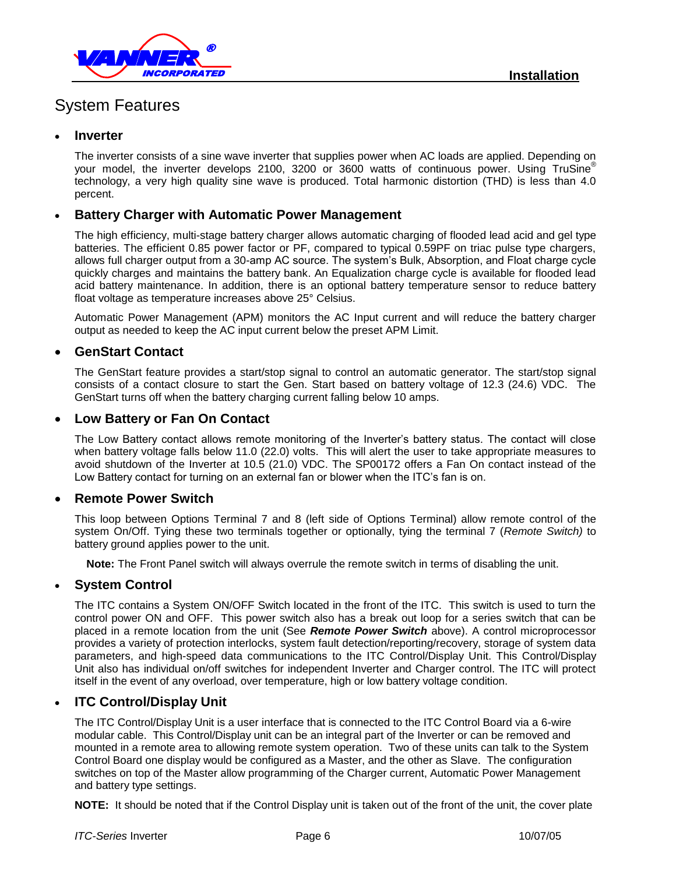

# System Features

## **Inverter**

The inverter consists of a sine wave inverter that supplies power when AC loads are applied. Depending on your model, the inverter develops 2100, 3200 or 3600 watts of continuous power. Using TruSine® technology, a very high quality sine wave is produced. Total harmonic distortion (THD) is less than 4.0 percent.

## **Battery Charger with Automatic Power Management**

The high efficiency, multi-stage battery charger allows automatic charging of flooded lead acid and gel type batteries. The efficient 0.85 power factor or PF, compared to typical 0.59PF on triac pulse type chargers, allows full charger output from a 30-amp AC source. The system's Bulk, Absorption, and Float charge cycle quickly charges and maintains the battery bank. An Equalization charge cycle is available for flooded lead acid battery maintenance. In addition, there is an optional battery temperature sensor to reduce battery float voltage as temperature increases above 25° Celsius.

Automatic Power Management (APM) monitors the AC Input current and will reduce the battery charger output as needed to keep the AC input current below the preset APM Limit.

## **GenStart Contact**

The GenStart feature provides a start/stop signal to control an automatic generator. The start/stop signal consists of a contact closure to start the Gen. Start based on battery voltage of 12.3 (24.6) VDC. The GenStart turns off when the battery charging current falling below 10 amps.

## **Low Battery or Fan On Contact**

The Low Battery contact allows remote monitoring of the Inverter's battery status. The contact will close when battery voltage falls below 11.0 (22.0) volts. This will alert the user to take appropriate measures to avoid shutdown of the Inverter at 10.5 (21.0) VDC. The SP00172 offers a Fan On contact instead of the Low Battery contact for turning on an external fan or blower when the ITC's fan is on.

## **Remote Power Switch**

This loop between Options Terminal 7 and 8 (left side of Options Terminal) allow remote control of the system On/Off. Tying these two terminals together or optionally, tying the terminal 7 (*Remote Switch)* to battery ground applies power to the unit.

**Note:** The Front Panel switch will always overrule the remote switch in terms of disabling the unit.

## **System Control**

The ITC contains a System ON/OFF Switch located in the front of the ITC. This switch is used to turn the control power ON and OFF. This power switch also has a break out loop for a series switch that can be placed in a remote location from the unit (See *Remote Power Switch* above). A control microprocessor provides a variety of protection interlocks, system fault detection/reporting/recovery, storage of system data parameters, and high-speed data communications to the ITC Control/Display Unit. This Control/Display Unit also has individual on/off switches for independent Inverter and Charger control. The ITC will protect itself in the event of any overload, over temperature, high or low battery voltage condition.

## **ITC Control/Display Unit**

The ITC Control/Display Unit is a user interface that is connected to the ITC Control Board via a 6-wire modular cable. This Control/Display unit can be an integral part of the Inverter or can be removed and mounted in a remote area to allowing remote system operation. Two of these units can talk to the System Control Board one display would be configured as a Master, and the other as Slave. The configuration switches on top of the Master allow programming of the Charger current, Automatic Power Management and battery type settings.

**NOTE:** It should be noted that if the Control Display unit is taken out of the front of the unit, the cover plate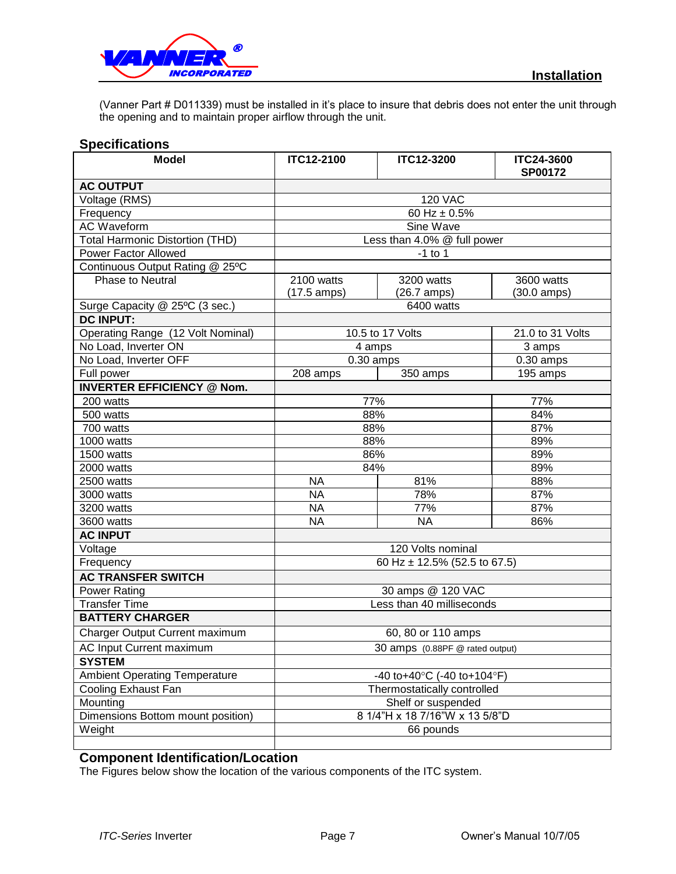

(Vanner Part # D011339) must be installed in it's place to insure that debris does not enter the unit through the opening and to maintain proper airflow through the unit.

## **Specifications**

| <b>Model</b>                           | <b>ITC12-2100</b>               | <b>ITC24-3600</b><br><b>SP00172</b>              |                       |  |  |  |
|----------------------------------------|---------------------------------|--------------------------------------------------|-----------------------|--|--|--|
| <b>AC OUTPUT</b>                       |                                 |                                                  |                       |  |  |  |
| Voltage (RMS)                          | <b>120 VAC</b>                  |                                                  |                       |  |  |  |
| Frequency                              | 60 Hz $\pm$ 0.5%                |                                                  |                       |  |  |  |
| <b>AC Waveform</b>                     |                                 | Sine Wave                                        |                       |  |  |  |
| <b>Total Harmonic Distortion (THD)</b> |                                 | Less than 4.0% @ full power                      |                       |  |  |  |
| <b>Power Factor Allowed</b>            |                                 | $-1$ to 1                                        |                       |  |  |  |
| Continuous Output Rating @ 25°C        |                                 |                                                  |                       |  |  |  |
| Phase to Neutral                       | 2100 watts                      | 3200 watts                                       | 3600 watts            |  |  |  |
|                                        | $(17.5 \text{ amps})$           | $(26.7 \text{ amps})$                            | $(30.0 \text{ amps})$ |  |  |  |
| Surge Capacity @ 25°C (3 sec.)         |                                 | 6400 watts                                       |                       |  |  |  |
| <b>DC INPUT:</b>                       |                                 |                                                  |                       |  |  |  |
| Operating Range (12 Volt Nominal)      |                                 | 10.5 to 17 Volts                                 | 21.0 to 31 Volts      |  |  |  |
| No Load, Inverter ON                   | 4 amps                          |                                                  | 3 amps                |  |  |  |
| No Load, Inverter OFF                  | $0.30$ amps                     |                                                  | $0.30$ amps           |  |  |  |
| Full power                             | 208 amps                        | 350 amps                                         | 195 amps              |  |  |  |
| <b>INVERTER EFFICIENCY @ Nom.</b>      |                                 |                                                  |                       |  |  |  |
| 200 watts                              | 77%                             |                                                  | 77%                   |  |  |  |
| 500 watts                              | 88%                             |                                                  | 84%                   |  |  |  |
| 700 watts                              | 88%                             |                                                  | 87%                   |  |  |  |
| 1000 watts                             | 88%                             |                                                  | 89%                   |  |  |  |
| 1500 watts                             | 86%                             |                                                  | 89%                   |  |  |  |
| 2000 watts                             | 84%                             |                                                  | 89%                   |  |  |  |
| 2500 watts                             | <b>NA</b>                       | 81%                                              | 88%                   |  |  |  |
| 3000 watts                             | <b>NA</b>                       | 78%                                              | 87%                   |  |  |  |
| 3200 watts                             | <b>NA</b>                       | 77%                                              | 87%                   |  |  |  |
| 3600 watts                             | <b>NA</b>                       | <b>NA</b>                                        | 86%                   |  |  |  |
| <b>AC INPUT</b>                        |                                 |                                                  |                       |  |  |  |
| Voltage                                | 120 Volts nominal               |                                                  |                       |  |  |  |
| Frequency                              |                                 | 60 Hz ± 12.5% (52.5 to 67.5)                     |                       |  |  |  |
| <b>AC TRANSFER SWITCH</b>              |                                 |                                                  |                       |  |  |  |
| Power Rating                           |                                 | 30 amps @ 120 VAC                                |                       |  |  |  |
| <b>Transfer Time</b>                   |                                 | Less than 40 milliseconds                        |                       |  |  |  |
| <b>BATTERY CHARGER</b>                 |                                 |                                                  |                       |  |  |  |
| Charger Output Current maximum         | 60, 80 or 110 amps              |                                                  |                       |  |  |  |
| <b>AC Input Current maximum</b>        | 30 amps (0.88PF @ rated output) |                                                  |                       |  |  |  |
| <b>SYSTEM</b>                          |                                 |                                                  |                       |  |  |  |
| <b>Ambient Operating Temperature</b>   |                                 | -40 to+40 $^{\circ}$ C (-40 to+104 $^{\circ}$ F) |                       |  |  |  |
| Cooling Exhaust Fan                    |                                 | Thermostatically controlled                      |                       |  |  |  |
| Mounting                               |                                 | Shelf or suspended                               |                       |  |  |  |
| Dimensions Bottom mount position)      |                                 | 8 1/4"H x 18 7/16"W x 13 5/8"D                   |                       |  |  |  |
| Weight                                 |                                 | 66 pounds                                        |                       |  |  |  |
|                                        |                                 |                                                  |                       |  |  |  |

## **Component Identification/Location**

The Figures below show the location of the various components of the ITC system.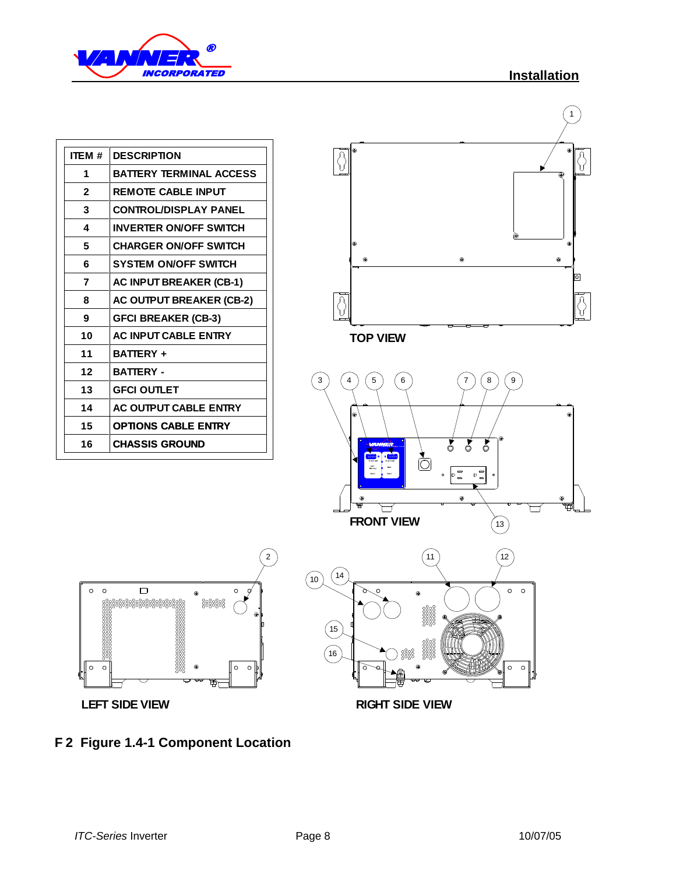



| ITEM#        | <b>DESCRIPTION</b>             |
|--------------|--------------------------------|
| 1            | <b>BATTERY TERMINAL ACCESS</b> |
| $\mathbf{z}$ | <b>REMOTE CABLE INPUT</b>      |
| 3            | <b>CONTROL/DISPLAY PANEL</b>   |
| 4            | <b>INVERTER ON/OFF SWITCH</b>  |
| 5            | <b>CHARGER ON/OFF SWITCH</b>   |
| 6            | <b>SYSTEM ON/OFF SWITCH</b>    |
| 7            | <b>AC INPUT BREAKER (CB-1)</b> |
| 8            | AC OUTPUT BREAKER (CB-2)       |
| 9            | <b>GFCI BREAKER (CB-3)</b>     |
| 10           | <b>AC INPUT CABLE ENTRY</b>    |
| 11           | <b>BATTERY +</b>               |
| 12           | <b>BATTERY -</b>               |
| 13           | <b>GFCI OUTLET</b>             |
| 14           | AC OUTPUT CABLE ENTRY          |
| 15           | <b>OPTIONS CABLE ENTRY</b>     |
| 16           | <b>CHASSIS GROUND</b>          |





2

**LEFT SIDE VIEW RIGHT SIDE VIEW**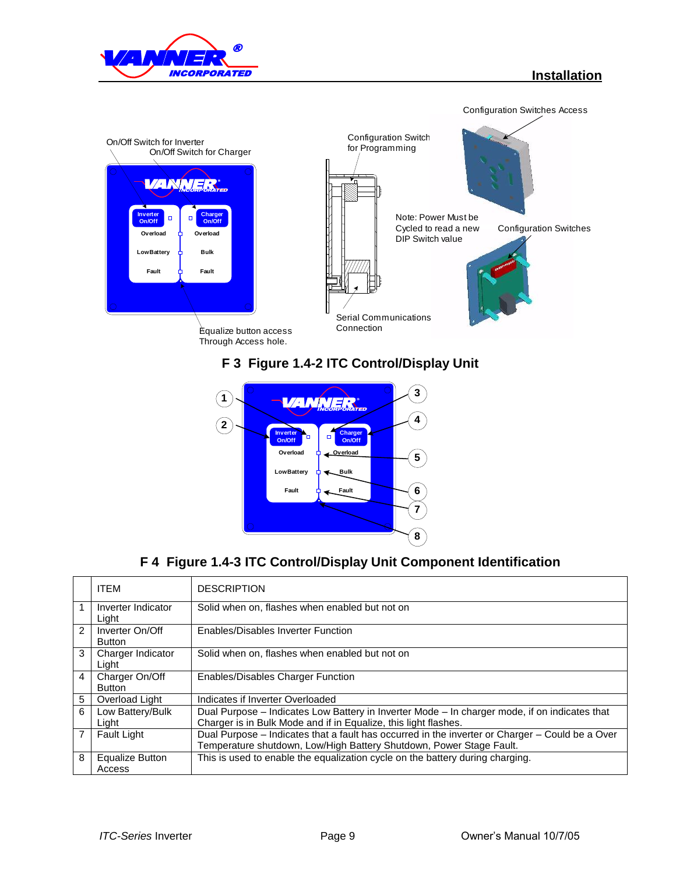



# **F 3 Figure 1.4-2 ITC Control/Display Unit**



# **F 4 Figure 1.4-3 ITC Control/Display Unit Component Identification**

|                | <b>ITEM</b>                      | <b>DESCRIPTION</b>                                                                                                                                                     |
|----------------|----------------------------------|------------------------------------------------------------------------------------------------------------------------------------------------------------------------|
| 1              | Inverter Indicator<br>Light      | Solid when on, flashes when enabled but not on                                                                                                                         |
| $\mathcal{P}$  | Inverter On/Off<br><b>Button</b> | <b>Enables/Disables Inverter Function</b>                                                                                                                              |
| 3              | Charger Indicator<br>Light       | Solid when on, flashes when enabled but not on                                                                                                                         |
| 4              | Charger On/Off<br><b>Button</b>  | <b>Enables/Disables Charger Function</b>                                                                                                                               |
| 5              | Overload Light                   | Indicates if Inverter Overloaded                                                                                                                                       |
| 6              | Low Battery/Bulk<br>Light        | Dual Purpose - Indicates Low Battery in Inverter Mode - In charger mode, if on indicates that<br>Charger is in Bulk Mode and if in Equalize, this light flashes.       |
| $\overline{7}$ | Fault Light                      | Dual Purpose – Indicates that a fault has occurred in the inverter or Charger – Could be a Over<br>Temperature shutdown, Low/High Battery Shutdown, Power Stage Fault. |
| 8              | <b>Equalize Button</b><br>Access | This is used to enable the equalization cycle on the battery during charging.                                                                                          |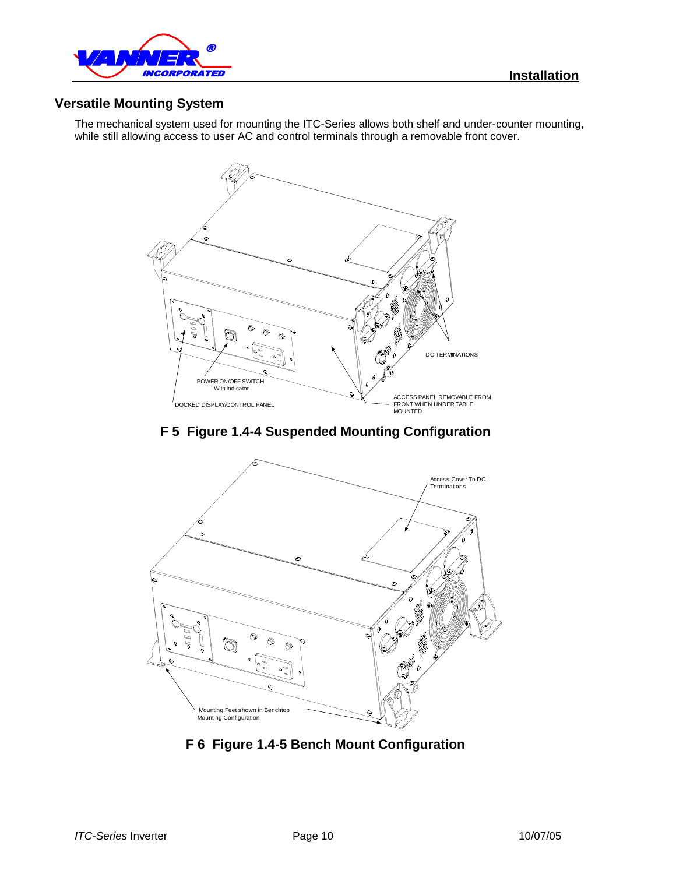

# **Versatile Mounting System**

The mechanical system used for mounting the ITC-Series allows both shelf and under-counter mounting, while still allowing access to user AC and control terminals through a removable front cover.



## **F 5 Figure 1.4-4 Suspended Mounting Configuration**



**F 6 Figure 1.4-5 Bench Mount Configuration**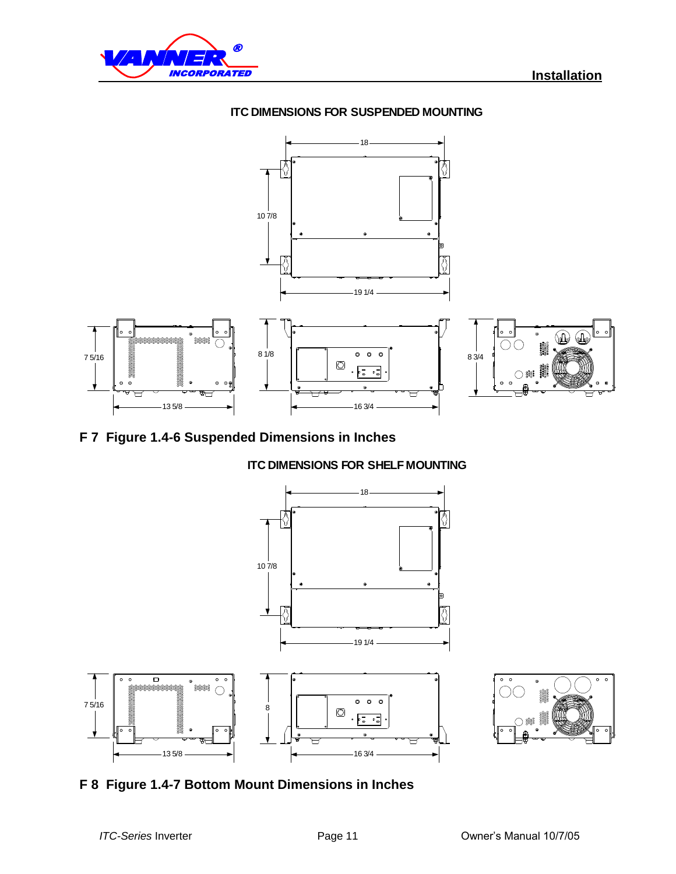

### **ITC DIMENSIONS FOR SUSPENDED MOUNTING**



# **F 7 Figure 1.4-6 Suspended Dimensions in Inches**

## **ITC DIMENSIONS FOR SHELF MOUNTING**



# **F 8 Figure 1.4-7 Bottom Mount Dimensions in Inches**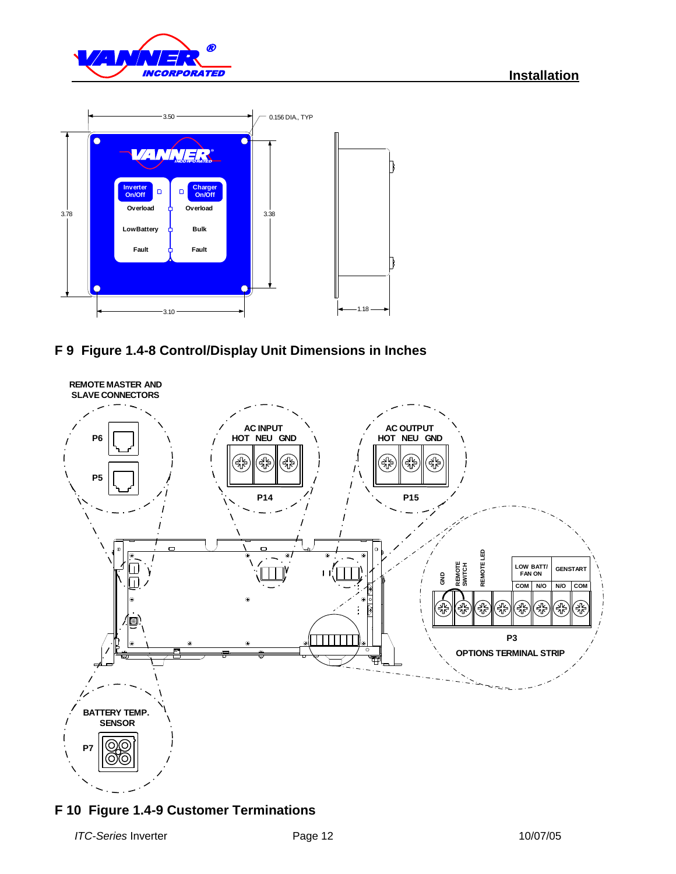



# **F 9 Figure 1.4-8 Control/Display Unit Dimensions in Inches**



## **F 10 Figure 1.4-9 Customer Terminations**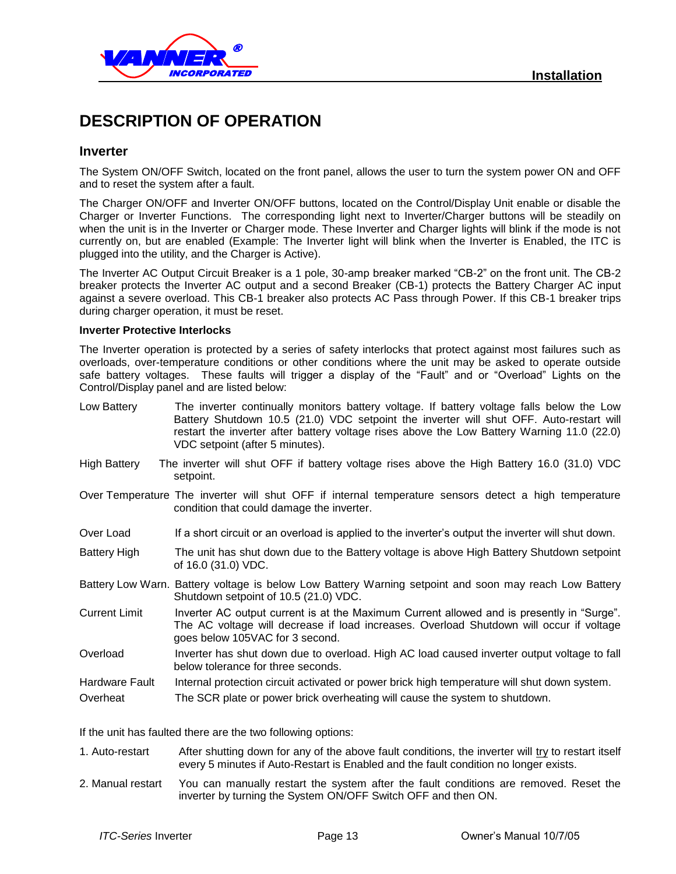

# **DESCRIPTION OF OPERATION**

### **Inverter**

The System ON/OFF Switch, located on the front panel, allows the user to turn the system power ON and OFF and to reset the system after a fault.

The Charger ON/OFF and Inverter ON/OFF buttons, located on the Control/Display Unit enable or disable the Charger or Inverter Functions. The corresponding light next to Inverter/Charger buttons will be steadily on when the unit is in the Inverter or Charger mode. These Inverter and Charger lights will blink if the mode is not currently on, but are enabled (Example: The Inverter light will blink when the Inverter is Enabled, the ITC is plugged into the utility, and the Charger is Active).

The Inverter AC Output Circuit Breaker is a 1 pole, 30-amp breaker marked "CB-2" on the front unit. The CB-2 breaker protects the Inverter AC output and a second Breaker (CB-1) protects the Battery Charger AC input against a severe overload. This CB-1 breaker also protects AC Pass through Power. If this CB-1 breaker trips during charger operation, it must be reset.

#### **Inverter Protective Interlocks**

The Inverter operation is protected by a series of safety interlocks that protect against most failures such as overloads, over-temperature conditions or other conditions where the unit may be asked to operate outside safe battery voltages. These faults will trigger a display of the "Fault" and or "Overload" Lights on the Control/Display panel and are listed below:

- Low Battery The inverter continually monitors battery voltage. If battery voltage falls below the Low Battery Shutdown 10.5 (21.0) VDC setpoint the inverter will shut OFF. Auto-restart will restart the inverter after battery voltage rises above the Low Battery Warning 11.0 (22.0) VDC setpoint (after 5 minutes).
- High Battery The inverter will shut OFF if battery voltage rises above the High Battery 16.0 (31.0) VDC setpoint.
- Over Temperature The inverter will shut OFF if internal temperature sensors detect a high temperature condition that could damage the inverter.
- Over Load If a short circuit or an overload is applied to the inverter's output the inverter will shut down.
- Battery High The unit has shut down due to the Battery voltage is above High Battery Shutdown setpoint of 16.0 (31.0) VDC.
- Battery Low Warn. Battery voltage is below Low Battery Warning setpoint and soon may reach Low Battery Shutdown setpoint of 10.5 (21.0) VDC.
- Current Limit Inverter AC output current is at the Maximum Current allowed and is presently in "Surge". The AC voltage will decrease if load increases. Overload Shutdown will occur if voltage goes below 105VAC for 3 second.
- Overload Inverter has shut down due to overload. High AC load caused inverter output voltage to fall below tolerance for three seconds.
- Hardware Fault Internal protection circuit activated or power brick high temperature will shut down system.
- Overheat The SCR plate or power brick overheating will cause the system to shutdown.

If the unit has faulted there are the two following options:

- 1. Auto-restart After shutting down for any of the above fault conditions, the inverter will try to restart itself every 5 minutes if Auto-Restart is Enabled and the fault condition no longer exists.
- 2. Manual restart You can manually restart the system after the fault conditions are removed. Reset the inverter by turning the System ON/OFF Switch OFF and then ON.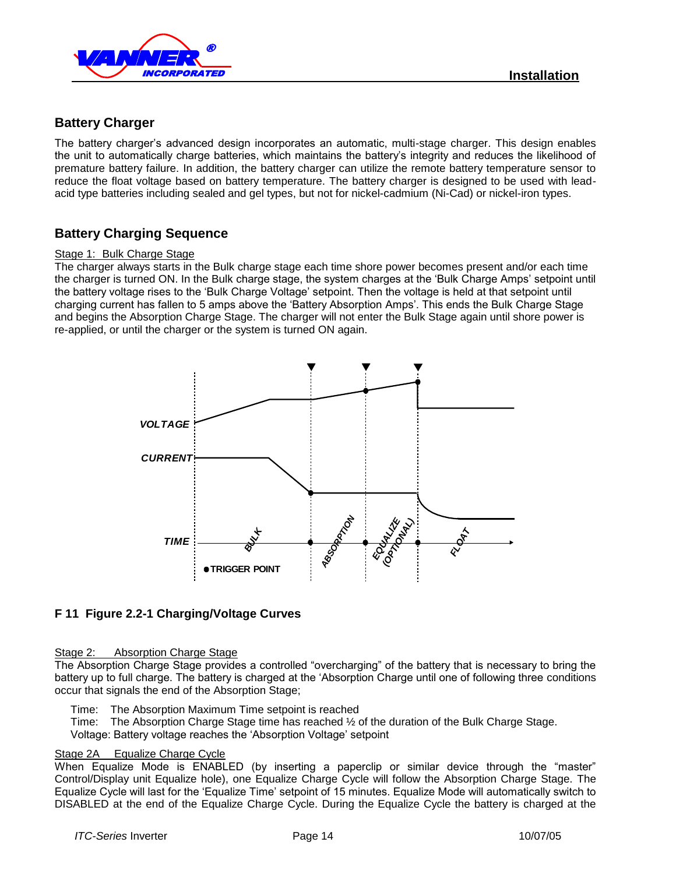

## **Battery Charger**

The battery charger's advanced design incorporates an automatic, multi-stage charger. This design enables the unit to automatically charge batteries, which maintains the battery's integrity and reduces the likelihood of premature battery failure. In addition, the battery charger can utilize the remote battery temperature sensor to reduce the float voltage based on battery temperature. The battery charger is designed to be used with leadacid type batteries including sealed and gel types, but not for nickel-cadmium (Ni-Cad) or nickel-iron types.

## **Battery Charging Sequence**

### Stage 1: Bulk Charge Stage

The charger always starts in the Bulk charge stage each time shore power becomes present and/or each time the charger is turned ON. In the Bulk charge stage, the system charges at the 'Bulk Charge Amps' setpoint until the battery voltage rises to the 'Bulk Charge Voltage' setpoint. Then the voltage is held at that setpoint until charging current has fallen to 5 amps above the 'Battery Absorption Amps'. This ends the Bulk Charge Stage and begins the Absorption Charge Stage. The charger will not enter the Bulk Stage again until shore power is re-applied, or until the charger or the system is turned ON again.



## **F 11 Figure 2.2-1 Charging/Voltage Curves**

#### Stage 2: Absorption Charge Stage

The Absorption Charge Stage provides a controlled "overcharging" of the battery that is necessary to bring the battery up to full charge. The battery is charged at the 'Absorption Charge until one of following three conditions occur that signals the end of the Absorption Stage;

- Time: The Absorption Maximum Time setpoint is reached
- Time: The Absorption Charge Stage time has reached ½ of the duration of the Bulk Charge Stage.
- Voltage: Battery voltage reaches the 'Absorption Voltage' setpoint

### Stage 2A Equalize Charge Cycle

When Equalize Mode is ENABLED (by inserting a paperclip or similar device through the "master" Control/Display unit Equalize hole), one Equalize Charge Cycle will follow the Absorption Charge Stage. The Equalize Cycle will last for the 'Equalize Time' setpoint of 15 minutes. Equalize Mode will automatically switch to DISABLED at the end of the Equalize Charge Cycle. During the Equalize Cycle the battery is charged at the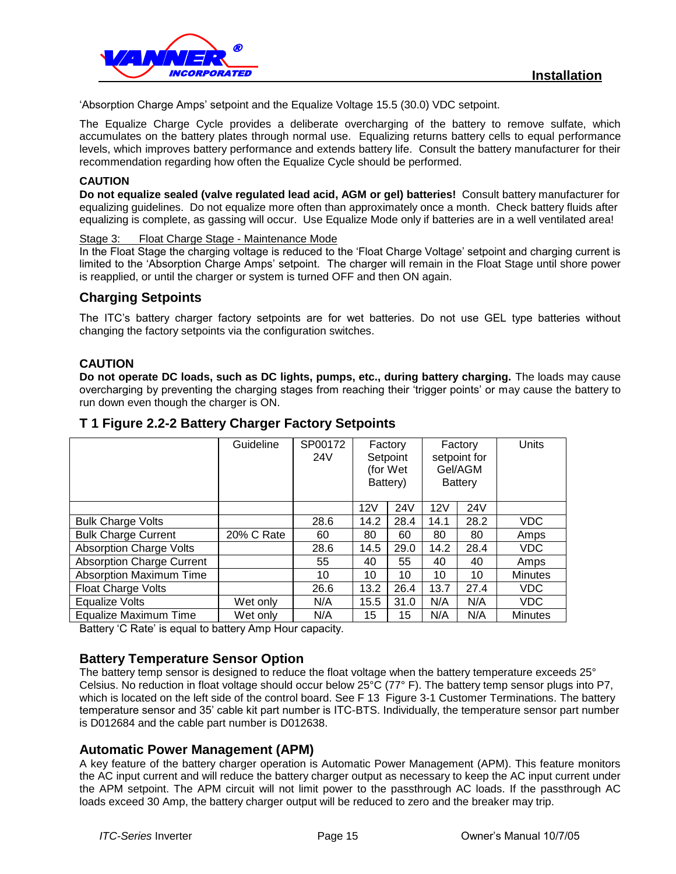

'Absorption Charge Amps' setpoint and the Equalize Voltage 15.5 (30.0) VDC setpoint.

The Equalize Charge Cycle provides a deliberate overcharging of the battery to remove sulfate, which accumulates on the battery plates through normal use. Equalizing returns battery cells to equal performance levels, which improves battery performance and extends battery life. Consult the battery manufacturer for their recommendation regarding how often the Equalize Cycle should be performed.

### **CAUTION**

**Do not equalize sealed (valve regulated lead acid, AGM or gel) batteries!** Consult battery manufacturer for equalizing guidelines. Do not equalize more often than approximately once a month. Check battery fluids after equalizing is complete, as gassing will occur. Use Equalize Mode only if batteries are in a well ventilated area!

Stage 3: Float Charge Stage - Maintenance Mode

In the Float Stage the charging voltage is reduced to the 'Float Charge Voltage' setpoint and charging current is limited to the 'Absorption Charge Amps' setpoint. The charger will remain in the Float Stage until shore power is reapplied, or until the charger or system is turned OFF and then ON again.

### **Charging Setpoints**

The ITC's battery charger factory setpoints are for wet batteries. Do not use GEL type batteries without changing the factory setpoints via the configuration switches.

### **CAUTION**

**Do not operate DC loads, such as DC lights, pumps, etc., during battery charging.** The loads may cause overcharging by preventing the charging stages from reaching their 'trigger points' or may cause the battery to run down even though the charger is ON.

### **T 1 Figure 2.2-2 Battery Charger Factory Setpoints**

|                                  | Guideline  | SP00172<br>24V | Factory<br>Setpoint<br>(for Wet<br>Battery) |      | Factory<br>setpoint for<br>Gel/AGM<br>Battery |      | Units          |
|----------------------------------|------------|----------------|---------------------------------------------|------|-----------------------------------------------|------|----------------|
|                                  |            |                | 12V                                         | 24V  | 12V                                           | 24V  |                |
| <b>Bulk Charge Volts</b>         |            | 28.6           | 14.2                                        | 28.4 | 14.1                                          | 28.2 | <b>VDC</b>     |
| <b>Bulk Charge Current</b>       | 20% C Rate | 60             | 80                                          | 60   | 80                                            | 80   | Amps           |
| <b>Absorption Charge Volts</b>   |            | 28.6           | 14.5                                        | 29.0 | 14.2                                          | 28.4 | <b>VDC</b>     |
| <b>Absorption Charge Current</b> |            | 55             | 40                                          | 55   | 40                                            | 40   | Amps           |
| <b>Absorption Maximum Time</b>   |            | 10             | 10                                          | 10   | 10                                            | 10   | <b>Minutes</b> |
| <b>Float Charge Volts</b>        |            | 26.6           | 13.2                                        | 26.4 | 13.7                                          | 27.4 | <b>VDC</b>     |
| Equalize Volts                   | Wet only   | N/A            | 15.5                                        | 31.0 | N/A                                           | N/A  | <b>VDC</b>     |
| Equalize Maximum Time            | Wet only   | N/A            | 15                                          | 15   | N/A                                           | N/A  | <b>Minutes</b> |

Battery 'C Rate' is equal to battery Amp Hour capacity.

## **Battery Temperature Sensor Option**

The battery temp sensor is designed to reduce the float voltage when the battery temperature exceeds 25° Celsius. No reduction in float voltage should occur below 25°C (77° F). The battery temp sensor plugs into P7, which is located on the left side of the control board. See F 13 Figure 3-1 Customer Terminations. The battery temperature sensor and 35' cable kit part number is ITC-BTS. Individually, the temperature sensor part number is D012684 and the cable part number is D012638.

### **Automatic Power Management (APM)**

A key feature of the battery charger operation is Automatic Power Management (APM). This feature monitors the AC input current and will reduce the battery charger output as necessary to keep the AC input current under the APM setpoint. The APM circuit will not limit power to the passthrough AC loads. If the passthrough AC loads exceed 30 Amp, the battery charger output will be reduced to zero and the breaker may trip.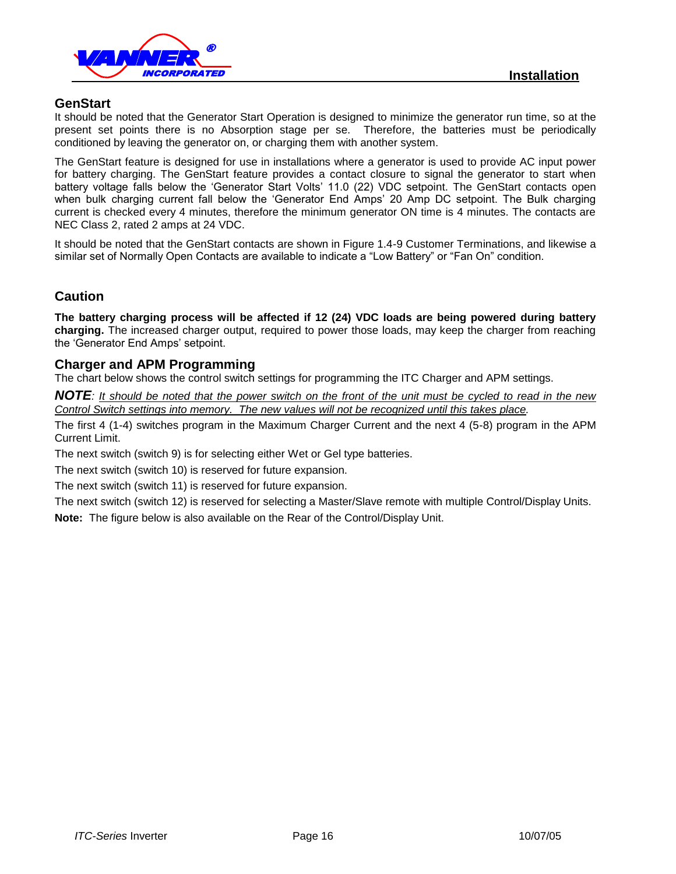

### **GenStart**

It should be noted that the Generator Start Operation is designed to minimize the generator run time, so at the present set points there is no Absorption stage per se. Therefore, the batteries must be periodically conditioned by leaving the generator on, or charging them with another system.

The GenStart feature is designed for use in installations where a generator is used to provide AC input power for battery charging. The GenStart feature provides a contact closure to signal the generator to start when battery voltage falls below the 'Generator Start Volts' 11.0 (22) VDC setpoint. The GenStart contacts open when bulk charging current fall below the 'Generator End Amps' 20 Amp DC setpoint. The Bulk charging current is checked every 4 minutes, therefore the minimum generator ON time is 4 minutes. The contacts are NEC Class 2, rated 2 amps at 24 VDC.

It should be noted that the GenStart contacts are shown in Figure 1.4-9 Customer Terminations, and likewise a similar set of Normally Open Contacts are available to indicate a "Low Battery" or "Fan On" condition.

## **Caution**

**The battery charging process will be affected if 12 (24) VDC loads are being powered during battery charging.** The increased charger output, required to power those loads, may keep the charger from reaching the 'Generator End Amps' setpoint.

### **Charger and APM Programming**

The chart below shows the control switch settings for programming the ITC Charger and APM settings.

*NOTE: It should be noted that the power switch on the front of the unit must be cycled to read in the new Control Switch settings into memory. The new values will not be recognized until this takes place.*

The first 4 (1-4) switches program in the Maximum Charger Current and the next 4 (5-8) program in the APM Current Limit.

The next switch (switch 9) is for selecting either Wet or Gel type batteries.

The next switch (switch 10) is reserved for future expansion.

The next switch (switch 11) is reserved for future expansion.

The next switch (switch 12) is reserved for selecting a Master/Slave remote with multiple Control/Display Units.

**Note:** The figure below is also available on the Rear of the Control/Display Unit.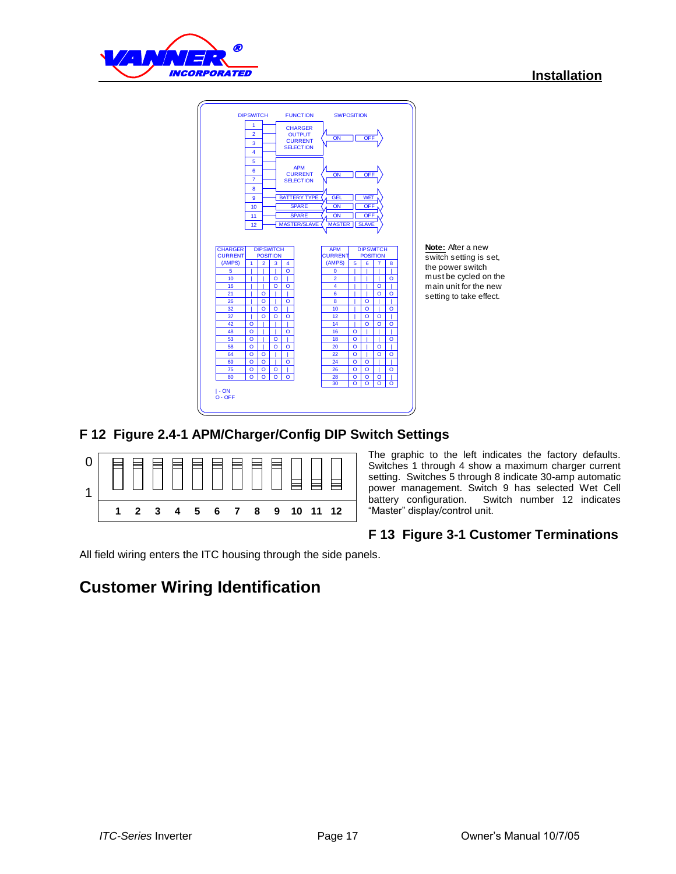



## **F 12 Figure 2.4-1 APM/Charger/Config DIP Switch Settings**

| 0 |  |  |  |                            |  |    |  |
|---|--|--|--|----------------------------|--|----|--|
|   |  |  |  |                            |  | 目目 |  |
|   |  |  |  | 1 2 3 4 5 6 7 8 9 10 11 12 |  |    |  |

The graphic to the left indicates the factory defaults. Switches 1 through 4 show a maximum charger current setting. Switches 5 through 8 indicate 30-amp automatic power management. Switch 9 has selected Wet Cell battery configuration. Switch number 12 indicates "Master" display/control unit.

## **F 13 Figure 3-1 Customer Terminations**

All field wiring enters the ITC housing through the side panels.

# **Customer Wiring Identification**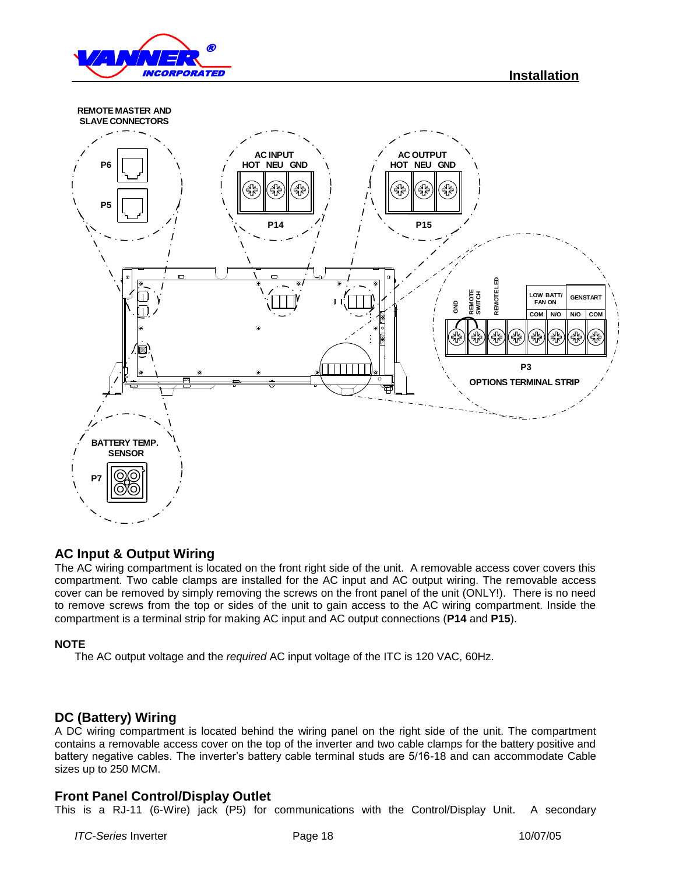



## **AC Input & Output Wiring**

The AC wiring compartment is located on the front right side of the unit. A removable access cover covers this compartment. Two cable clamps are installed for the AC input and AC output wiring. The removable access cover can be removed by simply removing the screws on the front panel of the unit (ONLY!). There is no need to remove screws from the top or sides of the unit to gain access to the AC wiring compartment. Inside the compartment is a terminal strip for making AC input and AC output connections (**P14** and **P15**).

### **NOTE**

The AC output voltage and the *required* AC input voltage of the ITC is 120 VAC, 60Hz.

## **DC (Battery) Wiring**

A DC wiring compartment is located behind the wiring panel on the right side of the unit. The compartment contains a removable access cover on the top of the inverter and two cable clamps for the battery positive and battery negative cables. The inverter's battery cable terminal studs are 5/16-18 and can accommodate Cable sizes up to 250 MCM.

## **Front Panel Control/Display Outlet**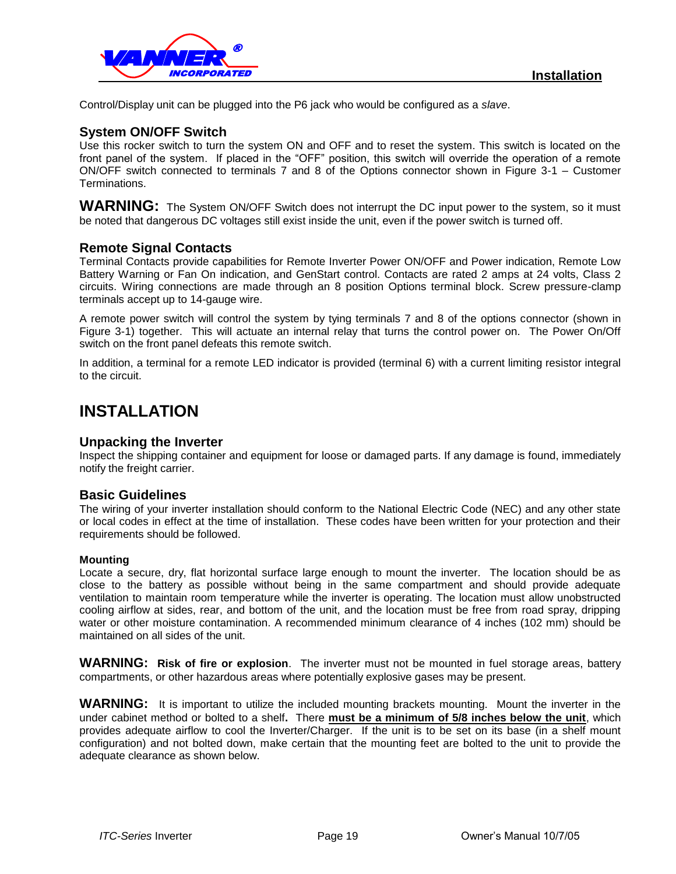

Control/Display unit can be plugged into the P6 jack who would be configured as a *slave*.

### **System ON/OFF Switch**

Use this rocker switch to turn the system ON and OFF and to reset the system. This switch is located on the front panel of the system. If placed in the "OFF" position, this switch will override the operation of a remote ON/OFF switch connected to terminals 7 and 8 of the Options connector shown in Figure 3-1 – Customer Terminations.

WARNING: The System ON/OFF Switch does not interrupt the DC input power to the system, so it must be noted that dangerous DC voltages still exist inside the unit, even if the power switch is turned off.

### **Remote Signal Contacts**

Terminal Contacts provide capabilities for Remote Inverter Power ON/OFF and Power indication, Remote Low Battery Warning or Fan On indication, and GenStart control. Contacts are rated 2 amps at 24 volts, Class 2 circuits. Wiring connections are made through an 8 position Options terminal block. Screw pressure-clamp terminals accept up to 14-gauge wire.

A remote power switch will control the system by tying terminals 7 and 8 of the options connector (shown in Figure 3-1) together. This will actuate an internal relay that turns the control power on. The Power On/Off switch on the front panel defeats this remote switch.

In addition, a terminal for a remote LED indicator is provided (terminal 6) with a current limiting resistor integral to the circuit.

# **INSTALLATION**

### **Unpacking the Inverter**

Inspect the shipping container and equipment for loose or damaged parts. If any damage is found, immediately notify the freight carrier.

### **Basic Guidelines**

The wiring of your inverter installation should conform to the National Electric Code (NEC) and any other state or local codes in effect at the time of installation. These codes have been written for your protection and their requirements should be followed.

### **Mounting**

Locate a secure, dry, flat horizontal surface large enough to mount the inverter. The location should be as close to the battery as possible without being in the same compartment and should provide adequate ventilation to maintain room temperature while the inverter is operating. The location must allow unobstructed cooling airflow at sides, rear, and bottom of the unit, and the location must be free from road spray, dripping water or other moisture contamination. A recommended minimum clearance of 4 inches (102 mm) should be maintained on all sides of the unit.

**WARNING: Risk of fire or explosion**. The inverter must not be mounted in fuel storage areas, battery compartments, or other hazardous areas where potentially explosive gases may be present.

**WARNING:** It is important to utilize the included mounting brackets mounting. Mount the inverter in the under cabinet method or bolted to a shelf**.** There **must be a minimum of 5/8 inches below the unit**, which provides adequate airflow to cool the Inverter/Charger. If the unit is to be set on its base (in a shelf mount configuration) and not bolted down, make certain that the mounting feet are bolted to the unit to provide the adequate clearance as shown below.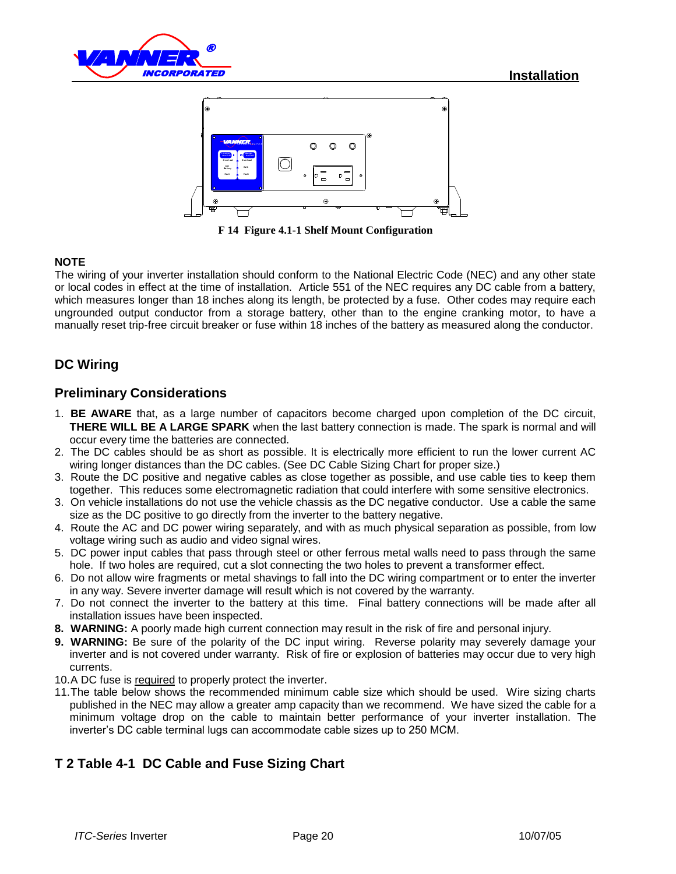



**F 14 Figure 4.1-1 Shelf Mount Configuration**

### **NOTE**

The wiring of your inverter installation should conform to the National Electric Code (NEC) and any other state or local codes in effect at the time of installation. Article 551 of the NEC requires any DC cable from a battery, which measures longer than 18 inches along its length, be protected by a fuse. Other codes may require each ungrounded output conductor from a storage battery, other than to the engine cranking motor, to have a manually reset trip-free circuit breaker or fuse within 18 inches of the battery as measured along the conductor.

## **DC Wiring**

## **Preliminary Considerations**

- 1. **BE AWARE** that, as a large number of capacitors become charged upon completion of the DC circuit, **THERE WILL BE A LARGE SPARK** when the last battery connection is made. The spark is normal and will occur every time the batteries are connected.
- 2. The DC cables should be as short as possible. It is electrically more efficient to run the lower current AC wiring longer distances than the DC cables. (See DC Cable Sizing Chart for proper size.)
- 3. Route the DC positive and negative cables as close together as possible, and use cable ties to keep them together. This reduces some electromagnetic radiation that could interfere with some sensitive electronics.
- 3. On vehicle installations do not use the vehicle chassis as the DC negative conductor. Use a cable the same size as the DC positive to go directly from the inverter to the battery negative.
- 4. Route the AC and DC power wiring separately, and with as much physical separation as possible, from low voltage wiring such as audio and video signal wires.
- 5. DC power input cables that pass through steel or other ferrous metal walls need to pass through the same hole. If two holes are required, cut a slot connecting the two holes to prevent a transformer effect.
- 6. Do not allow wire fragments or metal shavings to fall into the DC wiring compartment or to enter the inverter in any way. Severe inverter damage will result which is not covered by the warranty.
- 7. Do not connect the inverter to the battery at this time. Final battery connections will be made after all installation issues have been inspected.
- **8. WARNING:** A poorly made high current connection may result in the risk of fire and personal injury.
- **9. WARNING:** Be sure of the polarity of the DC input wiring. Reverse polarity may severely damage your inverter and is not covered under warranty. Risk of fire or explosion of batteries may occur due to very high currents.
- 10.A DC fuse is required to properly protect the inverter.
- 11.The table below shows the recommended minimum cable size which should be used. Wire sizing charts published in the NEC may allow a greater amp capacity than we recommend. We have sized the cable for a minimum voltage drop on the cable to maintain better performance of your inverter installation. The inverter's DC cable terminal lugs can accommodate cable sizes up to 250 MCM.

## **T 2 Table 4-1 DC Cable and Fuse Sizing Chart**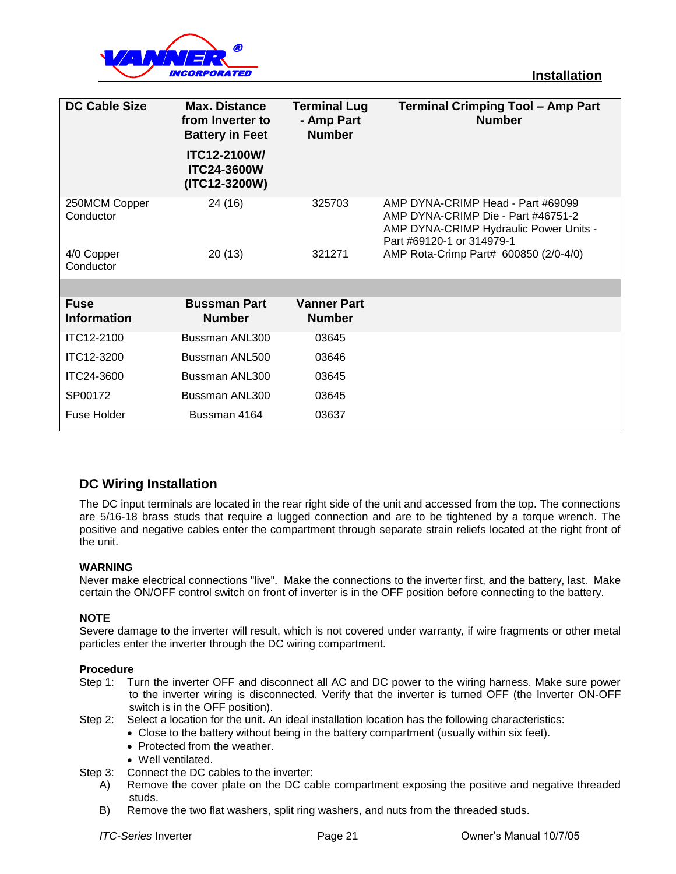

| <b>DC Cable Size</b>              | <b>Max. Distance</b><br>from Inverter to<br><b>Battery in Feet</b> | <b>Terminal Lug</b><br>- Amp Part<br><b>Number</b> | <b>Terminal Crimping Tool - Amp Part</b><br><b>Number</b>                                                                                      |
|-----------------------------------|--------------------------------------------------------------------|----------------------------------------------------|------------------------------------------------------------------------------------------------------------------------------------------------|
|                                   | <b>ITC12-2100W/</b><br><b>ITC24-3600W</b><br>(ITC12-3200W)         |                                                    |                                                                                                                                                |
| 250MCM Copper<br>Conductor        | 24 (16)                                                            | 325703                                             | AMP DYNA-CRIMP Head - Part #69099<br>AMP DYNA-CRIMP Die - Part #46751-2<br>AMP DYNA-CRIMP Hydraulic Power Units -<br>Part #69120-1 or 314979-1 |
| 4/0 Copper<br>Conductor           | 20 (13)                                                            | 321271                                             | AMP Rota-Crimp Part# 600850 (2/0-4/0)                                                                                                          |
|                                   |                                                                    |                                                    |                                                                                                                                                |
| <b>Fuse</b><br><b>Information</b> | <b>Bussman Part</b><br><b>Number</b>                               | <b>Vanner Part</b><br><b>Number</b>                |                                                                                                                                                |
| ITC12-2100                        | Bussman ANL300                                                     | 03645                                              |                                                                                                                                                |
| ITC12-3200                        | Bussman ANL500                                                     | 03646                                              |                                                                                                                                                |
| ITC24-3600                        | Bussman ANL300                                                     | 03645                                              |                                                                                                                                                |
| SP00172                           | Bussman ANL300                                                     | 03645                                              |                                                                                                                                                |
| Fuse Holder                       | Bussman 4164                                                       | 03637                                              |                                                                                                                                                |

## **DC Wiring Installation**

The DC input terminals are located in the rear right side of the unit and accessed from the top. The connections are 5/16-18 brass studs that require a lugged connection and are to be tightened by a torque wrench. The positive and negative cables enter the compartment through separate strain reliefs located at the right front of the unit.

### **WARNING**

Never make electrical connections "live". Make the connections to the inverter first, and the battery, last. Make certain the ON/OFF control switch on front of inverter is in the OFF position before connecting to the battery.

### **NOTE**

Severe damage to the inverter will result, which is not covered under warranty, if wire fragments or other metal particles enter the inverter through the DC wiring compartment.

### **Procedure**

- Step 1: Turn the inverter OFF and disconnect all AC and DC power to the wiring harness. Make sure power to the inverter wiring is disconnected. Verify that the inverter is turned OFF (the Inverter ON-OFF switch is in the OFF position).
- Step 2: Select a location for the unit. An ideal installation location has the following characteristics:
	- Close to the battery without being in the battery compartment (usually within six feet).
	- Protected from the weather.
	- Well ventilated.
- Step 3: Connect the DC cables to the inverter:
	- A) Remove the cover plate on the DC cable compartment exposing the positive and negative threaded studs.
	- B) Remove the two flat washers, split ring washers, and nuts from the threaded studs.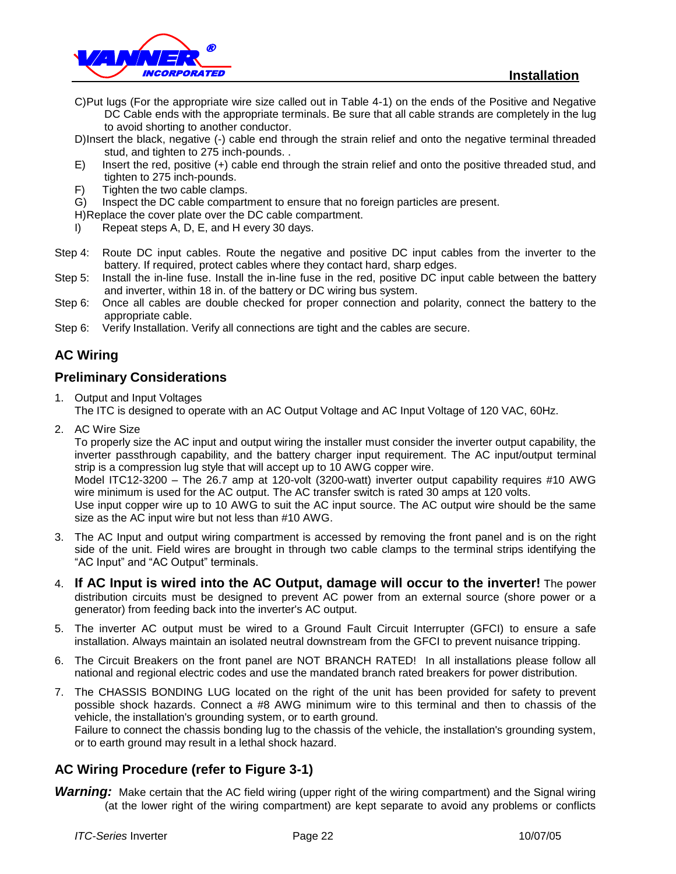

- C)Put lugs (For the appropriate wire size called out in Table 4-1) on the ends of the Positive and Negative DC Cable ends with the appropriate terminals. Be sure that all cable strands are completely in the lug to avoid shorting to another conductor.
- D)Insert the black, negative (-) cable end through the strain relief and onto the negative terminal threaded stud, and tighten to 275 inch-pounds. .
- E) Insert the red, positive (+) cable end through the strain relief and onto the positive threaded stud, and tighten to 275 inch-pounds.
- F) Tighten the two cable clamps.
- G) Inspect the DC cable compartment to ensure that no foreign particles are present.
- H)Replace the cover plate over the DC cable compartment.
- I) Repeat steps A, D, E, and H every 30 days.
- Step 4: Route DC input cables. Route the negative and positive DC input cables from the inverter to the battery. If required, protect cables where they contact hard, sharp edges.
- Step 5: Install the in-line fuse. Install the in-line fuse in the red, positive DC input cable between the battery and inverter, within 18 in. of the battery or DC wiring bus system.
- Step 6: Once all cables are double checked for proper connection and polarity, connect the battery to the appropriate cable.
- Step 6: Verify Installation. Verify all connections are tight and the cables are secure.

## **AC Wiring**

## **Preliminary Considerations**

1. Output and Input Voltages The ITC is designed to operate with an AC Output Voltage and AC Input Voltage of 120 VAC, 60Hz.

2. AC Wire Size

To properly size the AC input and output wiring the installer must consider the inverter output capability, the inverter passthrough capability, and the battery charger input requirement. The AC input/output terminal strip is a compression lug style that will accept up to 10 AWG copper wire.

Model ITC12-3200 – The 26.7 amp at 120-volt (3200-watt) inverter output capability requires #10 AWG wire minimum is used for the AC output. The AC transfer switch is rated 30 amps at 120 volts.

Use input copper wire up to 10 AWG to suit the AC input source. The AC output wire should be the same size as the AC input wire but not less than #10 AWG.

- 3. The AC Input and output wiring compartment is accessed by removing the front panel and is on the right side of the unit. Field wires are brought in through two cable clamps to the terminal strips identifying the "AC Input" and "AC Output" terminals.
- 4. **If AC Input is wired into the AC Output, damage will occur to the inverter!** The power distribution circuits must be designed to prevent AC power from an external source (shore power or a generator) from feeding back into the inverter's AC output.
- 5. The inverter AC output must be wired to a Ground Fault Circuit Interrupter (GFCI) to ensure a safe installation. Always maintain an isolated neutral downstream from the GFCI to prevent nuisance tripping.
- 6. The Circuit Breakers on the front panel are NOT BRANCH RATED! In all installations please follow all national and regional electric codes and use the mandated branch rated breakers for power distribution.
- 7. The CHASSIS BONDING LUG located on the right of the unit has been provided for safety to prevent possible shock hazards. Connect a #8 AWG minimum wire to this terminal and then to chassis of the vehicle, the installation's grounding system, or to earth ground. Failure to connect the chassis bonding lug to the chassis of the vehicle, the installation's grounding system,

or to earth ground may result in a lethal shock hazard.

## **AC Wiring Procedure (refer to Figure 3-1)**

*Warning:* Make certain that the AC field wiring (upper right of the wiring compartment) and the Signal wiring (at the lower right of the wiring compartment) are kept separate to avoid any problems or conflicts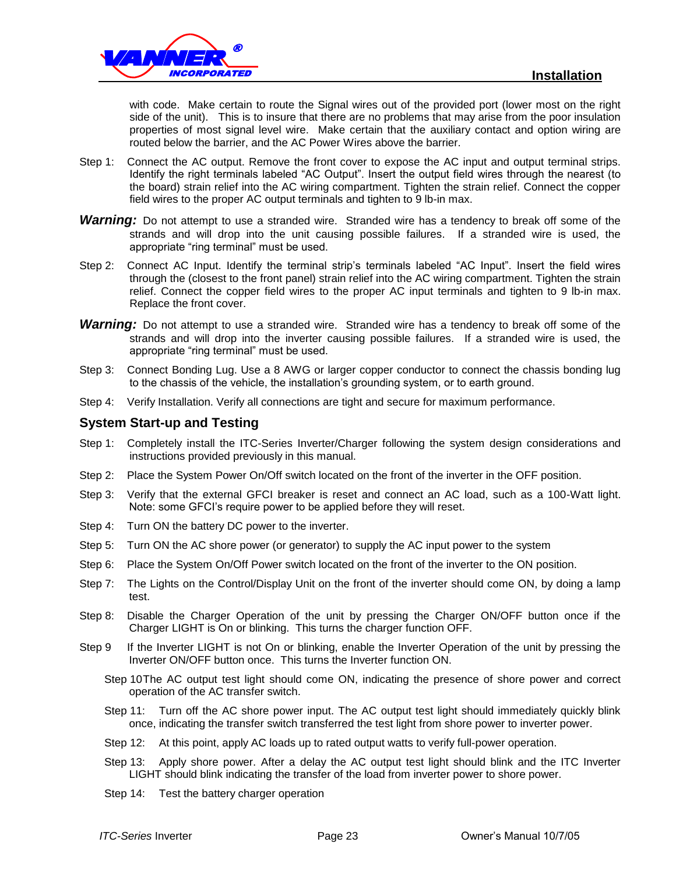

with code. Make certain to route the Signal wires out of the provided port (lower most on the right side of the unit). This is to insure that there are no problems that may arise from the poor insulation properties of most signal level wire. Make certain that the auxiliary contact and option wiring are routed below the barrier, and the AC Power Wires above the barrier.

- Step 1: Connect the AC output. Remove the front cover to expose the AC input and output terminal strips. Identify the right terminals labeled "AC Output". Insert the output field wires through the nearest (to the board) strain relief into the AC wiring compartment. Tighten the strain relief. Connect the copper field wires to the proper AC output terminals and tighten to 9 lb-in max.
- *Warning:* Do not attempt to use a stranded wire. Stranded wire has a tendency to break off some of the strands and will drop into the unit causing possible failures. If a stranded wire is used, the appropriate "ring terminal" must be used.
- Step 2: Connect AC Input. Identify the terminal strip's terminals labeled "AC Input". Insert the field wires through the (closest to the front panel) strain relief into the AC wiring compartment. Tighten the strain relief. Connect the copper field wires to the proper AC input terminals and tighten to 9 lb-in max. Replace the front cover.
- *Warning:* Do not attempt to use a stranded wire. Stranded wire has a tendency to break off some of the strands and will drop into the inverter causing possible failures. If a stranded wire is used, the appropriate "ring terminal" must be used.
- Step 3: Connect Bonding Lug. Use a 8 AWG or larger copper conductor to connect the chassis bonding lug to the chassis of the vehicle, the installation's grounding system, or to earth ground.
- Step 4: Verify Installation. Verify all connections are tight and secure for maximum performance.

### **System Start-up and Testing**

- Step 1: Completely install the ITC-Series Inverter/Charger following the system design considerations and instructions provided previously in this manual.
- Step 2: Place the System Power On/Off switch located on the front of the inverter in the OFF position.
- Step 3: Verify that the external GFCI breaker is reset and connect an AC load, such as a 100-Watt light. Note: some GFCI's require power to be applied before they will reset.
- Step 4: Turn ON the battery DC power to the inverter.
- Step 5: Turn ON the AC shore power (or generator) to supply the AC input power to the system
- Step 6: Place the System On/Off Power switch located on the front of the inverter to the ON position.
- Step 7: The Lights on the Control/Display Unit on the front of the inverter should come ON, by doing a lamp test.
- Step 8: Disable the Charger Operation of the unit by pressing the Charger ON/OFF button once if the Charger LIGHT is On or blinking. This turns the charger function OFF.
- Step 9 If the Inverter LIGHT is not On or blinking, enable the Inverter Operation of the unit by pressing the Inverter ON/OFF button once. This turns the Inverter function ON.
	- Step 10The AC output test light should come ON, indicating the presence of shore power and correct operation of the AC transfer switch.
	- Step 11: Turn off the AC shore power input. The AC output test light should immediately quickly blink once, indicating the transfer switch transferred the test light from shore power to inverter power.
	- Step 12: At this point, apply AC loads up to rated output watts to verify full-power operation.
	- Step 13: Apply shore power. After a delay the AC output test light should blink and the ITC Inverter LIGHT should blink indicating the transfer of the load from inverter power to shore power.
	- Step 14: Test the battery charger operation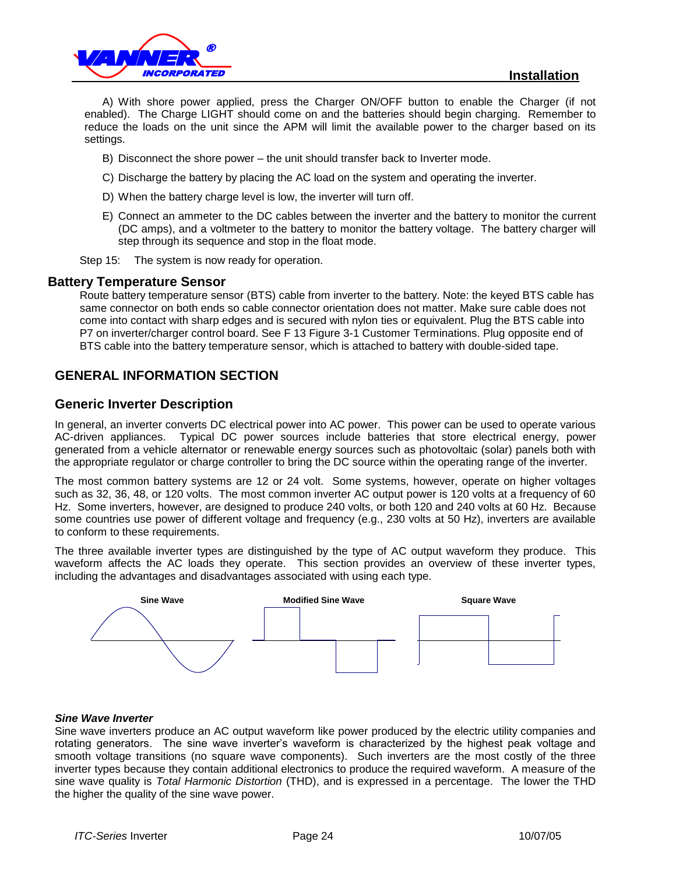

A) With shore power applied, press the Charger ON/OFF button to enable the Charger (if not enabled). The Charge LIGHT should come on and the batteries should begin charging. Remember to reduce the loads on the unit since the APM will limit the available power to the charger based on its settings.

- B) Disconnect the shore power the unit should transfer back to Inverter mode.
- C) Discharge the battery by placing the AC load on the system and operating the inverter.
- D) When the battery charge level is low, the inverter will turn off.
- E) Connect an ammeter to the DC cables between the inverter and the battery to monitor the current (DC amps), and a voltmeter to the battery to monitor the battery voltage. The battery charger will step through its sequence and stop in the float mode.
- Step 15: The system is now ready for operation.

### **Battery Temperature Sensor**

Route battery temperature sensor (BTS) cable from inverter to the battery. Note: the keyed BTS cable has same connector on both ends so cable connector orientation does not matter. Make sure cable does not come into contact with sharp edges and is secured with nylon ties or equivalent. Plug the BTS cable into P7 on inverter/charger control board. See F 13 Figure 3-1 Customer Terminations. Plug opposite end of BTS cable into the battery temperature sensor, which is attached to battery with double-sided tape.

## **GENERAL INFORMATION SECTION**

### **Generic Inverter Description**

In general, an inverter converts DC electrical power into AC power. This power can be used to operate various AC-driven appliances. Typical DC power sources include batteries that store electrical energy, power generated from a vehicle alternator or renewable energy sources such as photovoltaic (solar) panels both with the appropriate regulator or charge controller to bring the DC source within the operating range of the inverter.

The most common battery systems are 12 or 24 volt. Some systems, however, operate on higher voltages such as 32, 36, 48, or 120 volts. The most common inverter AC output power is 120 volts at a frequency of 60 Hz. Some inverters, however, are designed to produce 240 volts, or both 120 and 240 volts at 60 Hz. Because some countries use power of different voltage and frequency (e.g., 230 volts at 50 Hz), inverters are available to conform to these requirements.

The three available inverter types are distinguished by the type of AC output waveform they produce. This waveform affects the AC loads they operate. This section provides an overview of these inverter types, including the advantages and disadvantages associated with using each type.



### *Sine Wave Inverter*

Sine wave inverters produce an AC output waveform like power produced by the electric utility companies and rotating generators. The sine wave inverter's waveform is characterized by the highest peak voltage and smooth voltage transitions (no square wave components). Such inverters are the most costly of the three inverter types because they contain additional electronics to produce the required waveform. A measure of the sine wave quality is *Total Harmonic Distortion* (THD), and is expressed in a percentage. The lower the THD the higher the quality of the sine wave power.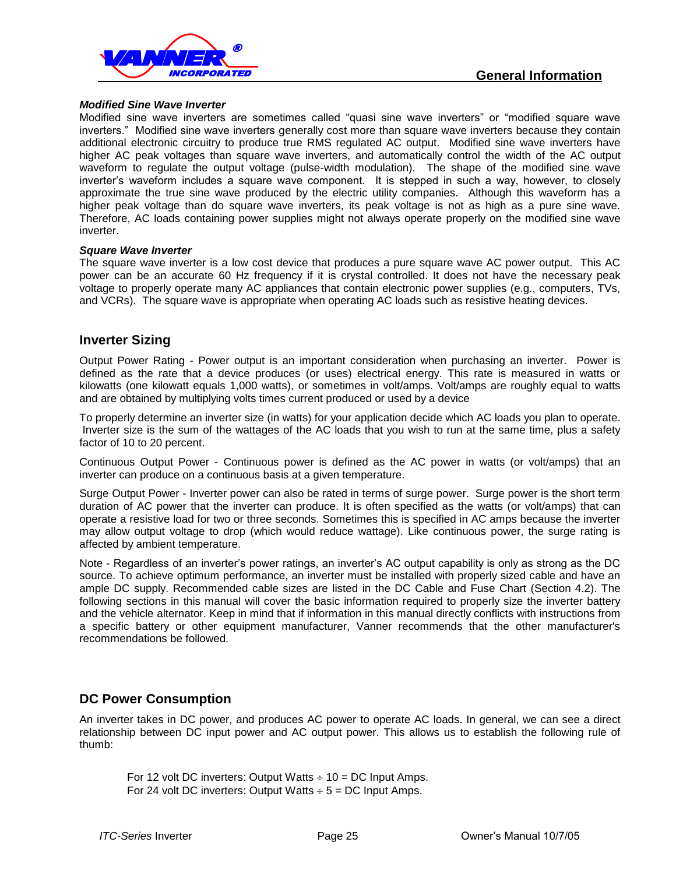

#### *Modified Sine Wave Inverter*

Modified sine wave inverters are sometimes called "quasi sine wave inverters" or "modified square wave inverters." Modified sine wave inverters generally cost more than square wave inverters because they contain additional electronic circuitry to produce true RMS regulated AC output. Modified sine wave inverters have higher AC peak voltages than square wave inverters, and automatically control the width of the AC output waveform to regulate the output voltage (pulse-width modulation). The shape of the modified sine wave inverter's waveform includes a square wave component. It is stepped in such a way, however, to closely approximate the true sine wave produced by the electric utility companies. Although this waveform has a higher peak voltage than do square wave inverters, its peak voltage is not as high as a pure sine wave. Therefore, AC loads containing power supplies might not always operate properly on the modified sine wave inverter.

#### *Square Wave Inverter*

The square wave inverter is a low cost device that produces a pure square wave AC power output. This AC power can be an accurate 60 Hz frequency if it is crystal controlled. It does not have the necessary peak voltage to properly operate many AC appliances that contain electronic power supplies (e.g., computers, TVs, and VCRs). The square wave is appropriate when operating AC loads such as resistive heating devices.

### **Inverter Sizing**

Output Power Rating - Power output is an important consideration when purchasing an inverter. Power is defined as the rate that a device produces (or uses) electrical energy. This rate is measured in watts or kilowatts (one kilowatt equals 1,000 watts), or sometimes in volt/amps. Volt/amps are roughly equal to watts and are obtained by multiplying volts times current produced or used by a device

To properly determine an inverter size (in watts) for your application decide which AC loads you plan to operate. Inverter size is the sum of the wattages of the AC loads that you wish to run at the same time, plus a safety factor of 10 to 20 percent.

Continuous Output Power - Continuous power is defined as the AC power in watts (or volt/amps) that an inverter can produce on a continuous basis at a given temperature.

Surge Output Power - Inverter power can also be rated in terms of surge power. Surge power is the short term duration of AC power that the inverter can produce. It is often specified as the watts (or volt/amps) that can operate a resistive load for two or three seconds. Sometimes this is specified in AC amps because the inverter may allow output voltage to drop (which would reduce wattage). Like continuous power, the surge rating is affected by ambient temperature.

Note - Regardless of an inverter's power ratings, an inverter's AC output capability is only as strong as the DC source. To achieve optimum performance, an inverter must be installed with properly sized cable and have an ample DC supply. Recommended cable sizes are listed in the DC Cable and Fuse Chart (Section 4.2). The following sections in this manual will cover the basic information required to properly size the inverter battery and the vehicle alternator. Keep in mind that if information in this manual directly conflicts with instructions from a specific battery or other equipment manufacturer, Vanner recommends that the other manufacturer's recommendations be followed.

## **DC Power Consumption**

An inverter takes in DC power, and produces AC power to operate AC loads. In general, we can see a direct relationship between DC input power and AC output power. This allows us to establish the following rule of thumb:

For 12 volt DC inverters: Output Watts  $\div$  10 = DC Input Amps. For 24 volt DC inverters: Output Watts  $\div$  5 = DC Input Amps.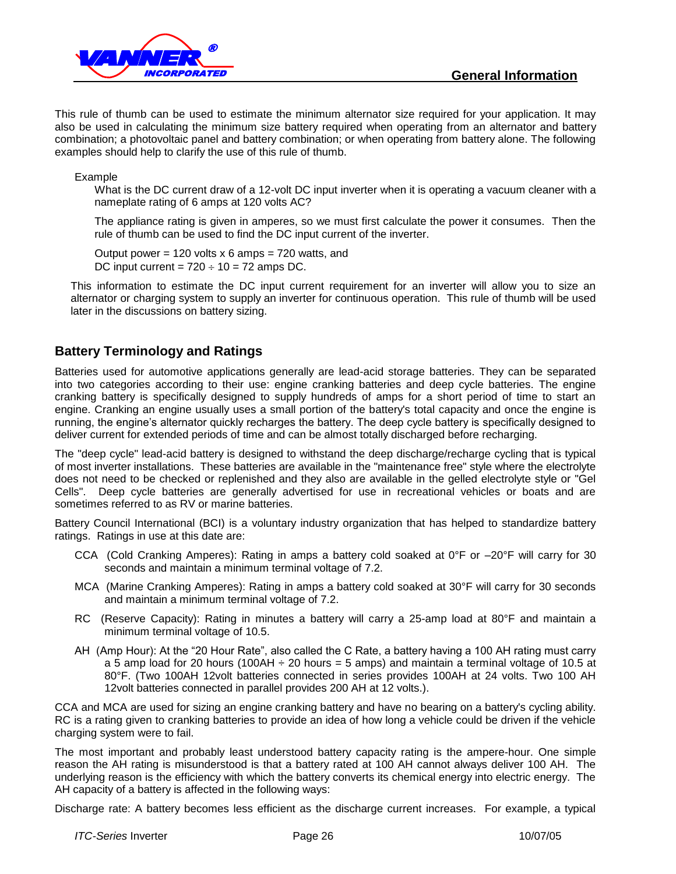



This rule of thumb can be used to estimate the minimum alternator size required for your application. It may also be used in calculating the minimum size battery required when operating from an alternator and battery combination; a photovoltaic panel and battery combination; or when operating from battery alone. The following examples should help to clarify the use of this rule of thumb.

Example

What is the DC current draw of a 12-volt DC input inverter when it is operating a vacuum cleaner with a nameplate rating of 6 amps at 120 volts AC?

The appliance rating is given in amperes, so we must first calculate the power it consumes. Then the rule of thumb can be used to find the DC input current of the inverter.

Output power = 120 volts  $x$  6 amps = 720 watts, and DC input current =  $720 \div 10 = 72$  amps DC.

This information to estimate the DC input current requirement for an inverter will allow you to size an alternator or charging system to supply an inverter for continuous operation. This rule of thumb will be used later in the discussions on battery sizing.

## **Battery Terminology and Ratings**

Batteries used for automotive applications generally are lead-acid storage batteries. They can be separated into two categories according to their use: engine cranking batteries and deep cycle batteries. The engine cranking battery is specifically designed to supply hundreds of amps for a short period of time to start an engine. Cranking an engine usually uses a small portion of the battery's total capacity and once the engine is running, the engine's alternator quickly recharges the battery. The deep cycle battery is specifically designed to deliver current for extended periods of time and can be almost totally discharged before recharging.

The "deep cycle" lead-acid battery is designed to withstand the deep discharge/recharge cycling that is typical of most inverter installations. These batteries are available in the "maintenance free" style where the electrolyte does not need to be checked or replenished and they also are available in the gelled electrolyte style or "Gel Cells". Deep cycle batteries are generally advertised for use in recreational vehicles or boats and are sometimes referred to as RV or marine batteries.

Battery Council International (BCI) is a voluntary industry organization that has helped to standardize battery ratings. Ratings in use at this date are:

- CCA (Cold Cranking Amperes): Rating in amps a battery cold soaked at 0°F or –20°F will carry for 30 seconds and maintain a minimum terminal voltage of 7.2.
- MCA (Marine Cranking Amperes): Rating in amps a battery cold soaked at 30°F will carry for 30 seconds and maintain a minimum terminal voltage of 7.2.
- RC (Reserve Capacity): Rating in minutes a battery will carry a 25-amp load at 80°F and maintain a minimum terminal voltage of 10.5.
- AH (Amp Hour): At the "20 Hour Rate", also called the C Rate, a battery having a 100 AH rating must carry a 5 amp load for 20 hours (100AH  $\div$  20 hours = 5 amps) and maintain a terminal voltage of 10.5 at 80°F. (Two 100AH 12volt batteries connected in series provides 100AH at 24 volts. Two 100 AH 12volt batteries connected in parallel provides 200 AH at 12 volts.).

CCA and MCA are used for sizing an engine cranking battery and have no bearing on a battery's cycling ability. RC is a rating given to cranking batteries to provide an idea of how long a vehicle could be driven if the vehicle charging system were to fail.

The most important and probably least understood battery capacity rating is the ampere-hour. One simple reason the AH rating is misunderstood is that a battery rated at 100 AH cannot always deliver 100 AH. The underlying reason is the efficiency with which the battery converts its chemical energy into electric energy. The AH capacity of a battery is affected in the following ways:

Discharge rate: A battery becomes less efficient as the discharge current increases. For example, a typical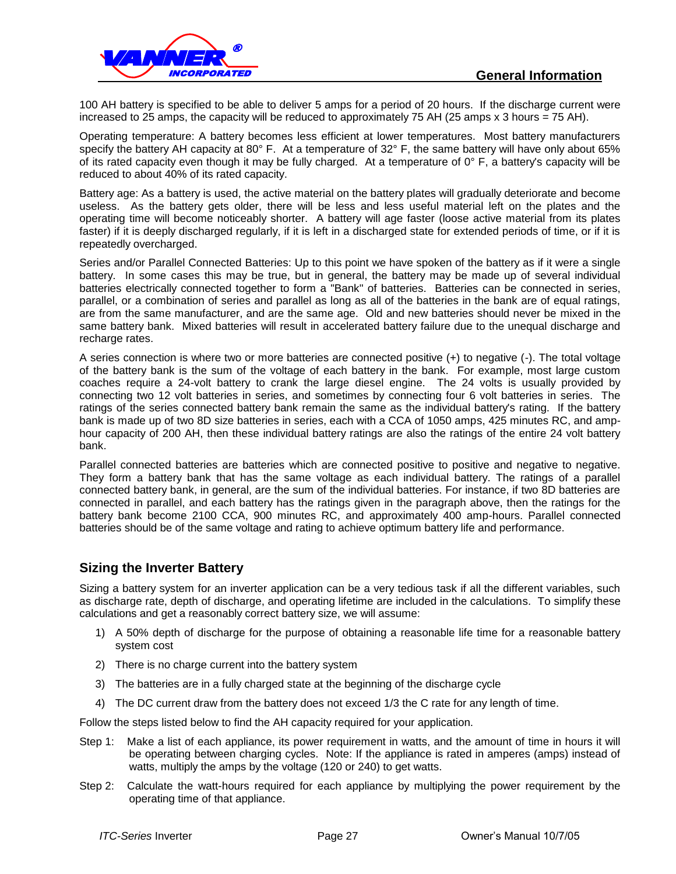

100 AH battery is specified to be able to deliver 5 amps for a period of 20 hours. If the discharge current were increased to 25 amps, the capacity will be reduced to approximately 75 AH (25 amps  $x$  3 hours = 75 AH).

Operating temperature: A battery becomes less efficient at lower temperatures. Most battery manufacturers specify the battery AH capacity at 80° F. At a temperature of 32° F, the same battery will have only about 65% of its rated capacity even though it may be fully charged. At a temperature of  $0^\circ$  F, a battery's capacity will be reduced to about 40% of its rated capacity.

Battery age: As a battery is used, the active material on the battery plates will gradually deteriorate and become useless. As the battery gets older, there will be less and less useful material left on the plates and the operating time will become noticeably shorter. A battery will age faster (loose active material from its plates faster) if it is deeply discharged regularly, if it is left in a discharged state for extended periods of time, or if it is repeatedly overcharged.

Series and/or Parallel Connected Batteries: Up to this point we have spoken of the battery as if it were a single battery. In some cases this may be true, but in general, the battery may be made up of several individual batteries electrically connected together to form a "Bank" of batteries. Batteries can be connected in series, parallel, or a combination of series and parallel as long as all of the batteries in the bank are of equal ratings, are from the same manufacturer, and are the same age. Old and new batteries should never be mixed in the same battery bank. Mixed batteries will result in accelerated battery failure due to the unequal discharge and recharge rates.

A series connection is where two or more batteries are connected positive (+) to negative (-). The total voltage of the battery bank is the sum of the voltage of each battery in the bank. For example, most large custom coaches require a 24-volt battery to crank the large diesel engine. The 24 volts is usually provided by connecting two 12 volt batteries in series, and sometimes by connecting four 6 volt batteries in series. The ratings of the series connected battery bank remain the same as the individual battery's rating. If the battery bank is made up of two 8D size batteries in series, each with a CCA of 1050 amps, 425 minutes RC, and amphour capacity of 200 AH, then these individual battery ratings are also the ratings of the entire 24 volt battery bank.

Parallel connected batteries are batteries which are connected positive to positive and negative to negative. They form a battery bank that has the same voltage as each individual battery. The ratings of a parallel connected battery bank, in general, are the sum of the individual batteries. For instance, if two 8D batteries are connected in parallel, and each battery has the ratings given in the paragraph above, then the ratings for the battery bank become 2100 CCA, 900 minutes RC, and approximately 400 amp-hours. Parallel connected batteries should be of the same voltage and rating to achieve optimum battery life and performance.

## **Sizing the Inverter Battery**

Sizing a battery system for an inverter application can be a very tedious task if all the different variables, such as discharge rate, depth of discharge, and operating lifetime are included in the calculations. To simplify these calculations and get a reasonably correct battery size, we will assume:

- 1) A 50% depth of discharge for the purpose of obtaining a reasonable life time for a reasonable battery system cost
- 2) There is no charge current into the battery system
- 3) The batteries are in a fully charged state at the beginning of the discharge cycle
- 4) The DC current draw from the battery does not exceed 1/3 the C rate for any length of time.

Follow the steps listed below to find the AH capacity required for your application.

- Step 1: Make a list of each appliance, its power requirement in watts, and the amount of time in hours it will be operating between charging cycles. Note: If the appliance is rated in amperes (amps) instead of watts, multiply the amps by the voltage (120 or 240) to get watts.
- Step 2: Calculate the watt-hours required for each appliance by multiplying the power requirement by the operating time of that appliance.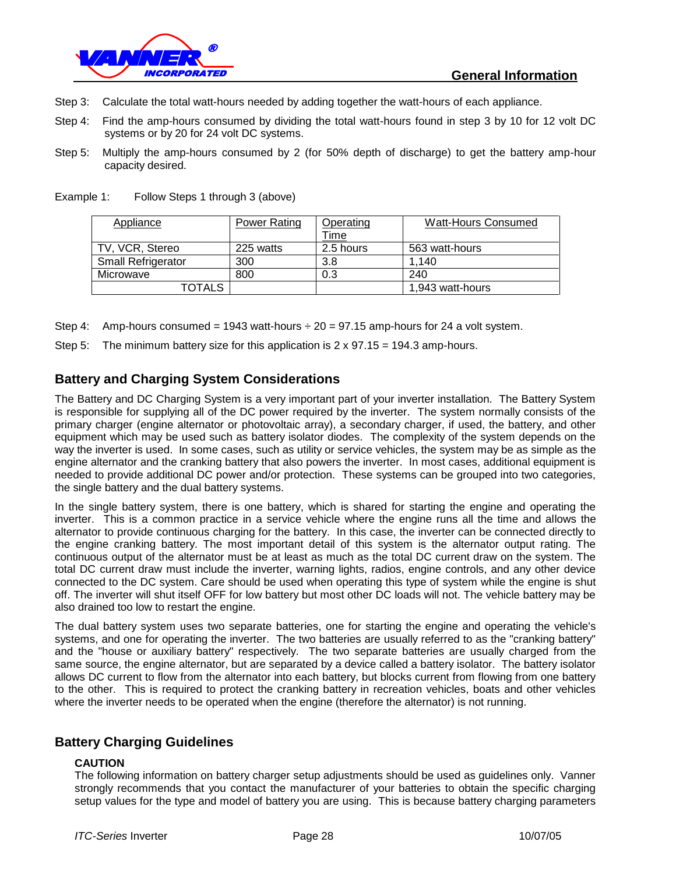

- Step 3: Calculate the total watt-hours needed by adding together the watt-hours of each appliance.
- Step 4: Find the amp-hours consumed by dividing the total watt-hours found in step 3 by 10 for 12 volt DC systems or by 20 for 24 volt DC systems.
- Step 5: Multiply the amp-hours consumed by 2 (for 50% depth of discharge) to get the battery amp-hour capacity desired.

| Appliance                 | Power Rating | Operating<br>Time | Watt-Hours Consumed |
|---------------------------|--------------|-------------------|---------------------|
| TV, VCR, Stereo           | 225 watts    | 2.5 hours         | 563 watt-hours      |
| <b>Small Refrigerator</b> | 300          | 3.8               | 1.140               |
| Microwave                 | 800          | 0.3               | 240                 |
| <b>TOTALS</b>             |              |                   | 1,943 watt-hours    |

Example 1: Follow Steps 1 through 3 (above)

Step 4: Amp-hours consumed = 1943 watt-hours  $\div$  20 = 97.15 amp-hours for 24 a volt system.

Step 5: The minimum battery size for this application is  $2 \times 97.15 = 194.3$  amp-hours.

## **Battery and Charging System Considerations**

The Battery and DC Charging System is a very important part of your inverter installation. The Battery System is responsible for supplying all of the DC power required by the inverter. The system normally consists of the primary charger (engine alternator or photovoltaic array), a secondary charger, if used, the battery, and other equipment which may be used such as battery isolator diodes. The complexity of the system depends on the way the inverter is used. In some cases, such as utility or service vehicles, the system may be as simple as the engine alternator and the cranking battery that also powers the inverter. In most cases, additional equipment is needed to provide additional DC power and/or protection. These systems can be grouped into two categories, the single battery and the dual battery systems.

In the single battery system, there is one battery, which is shared for starting the engine and operating the inverter. This is a common practice in a service vehicle where the engine runs all the time and allows the alternator to provide continuous charging for the battery. In this case, the inverter can be connected directly to the engine cranking battery. The most important detail of this system is the alternator output rating. The continuous output of the alternator must be at least as much as the total DC current draw on the system. The total DC current draw must include the inverter, warning lights, radios, engine controls, and any other device connected to the DC system. Care should be used when operating this type of system while the engine is shut off. The inverter will shut itself OFF for low battery but most other DC loads will not. The vehicle battery may be also drained too low to restart the engine.

The dual battery system uses two separate batteries, one for starting the engine and operating the vehicle's systems, and one for operating the inverter. The two batteries are usually referred to as the "cranking battery" and the "house or auxiliary battery" respectively. The two separate batteries are usually charged from the same source, the engine alternator, but are separated by a device called a battery isolator. The battery isolator allows DC current to flow from the alternator into each battery, but blocks current from flowing from one battery to the other. This is required to protect the cranking battery in recreation vehicles, boats and other vehicles where the inverter needs to be operated when the engine (therefore the alternator) is not running.

## **Battery Charging Guidelines**

### **CAUTION**

The following information on battery charger setup adjustments should be used as guidelines only. Vanner strongly recommends that you contact the manufacturer of your batteries to obtain the specific charging setup values for the type and model of battery you are using. This is because battery charging parameters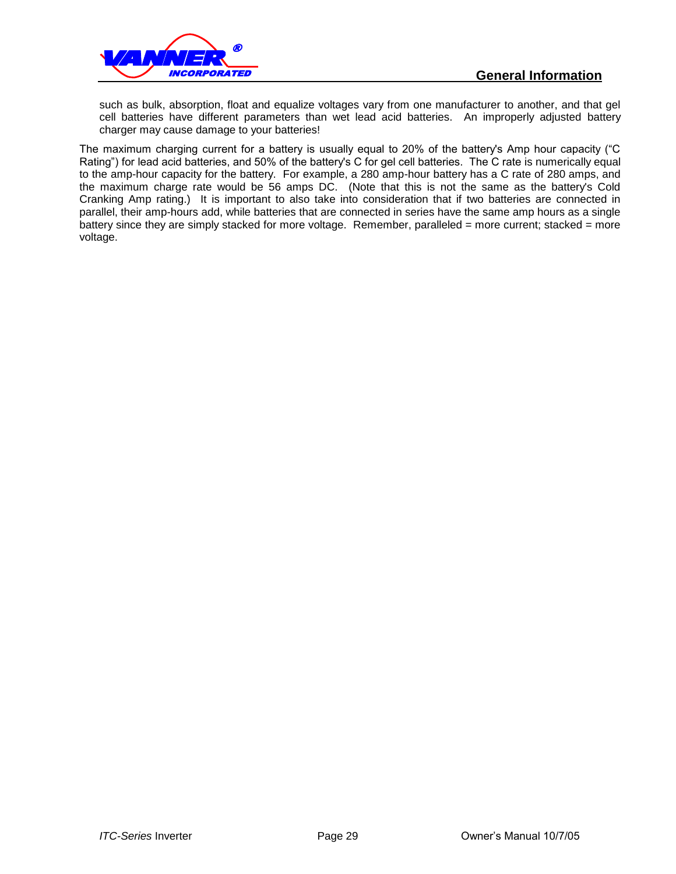

such as bulk, absorption, float and equalize voltages vary from one manufacturer to another, and that gel cell batteries have different parameters than wet lead acid batteries. An improperly adjusted battery charger may cause damage to your batteries!

The maximum charging current for a battery is usually equal to 20% of the battery's Amp hour capacity ("C Rating") for lead acid batteries, and 50% of the battery's C for gel cell batteries. The C rate is numerically equal to the amp-hour capacity for the battery. For example, a 280 amp-hour battery has a C rate of 280 amps, and the maximum charge rate would be 56 amps DC. (Note that this is not the same as the battery's Cold Cranking Amp rating.) It is important to also take into consideration that if two batteries are connected in parallel, their amp-hours add, while batteries that are connected in series have the same amp hours as a single battery since they are simply stacked for more voltage. Remember, paralleled = more current; stacked = more voltage.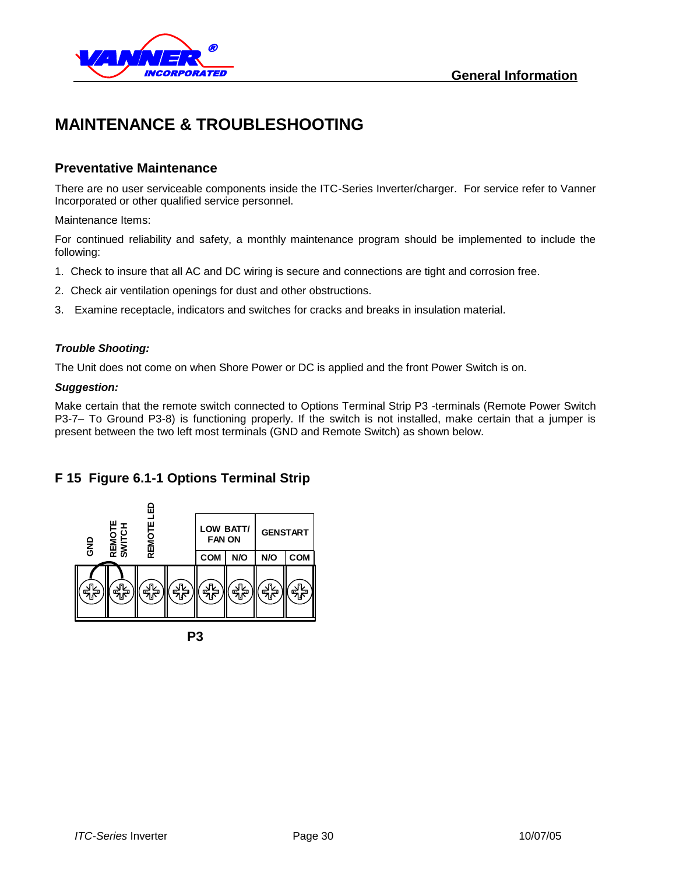

# **MAINTENANCE & TROUBLESHOOTING**

## **Preventative Maintenance**

There are no user serviceable components inside the ITC-Series Inverter/charger. For service refer to Vanner Incorporated or other qualified service personnel.

Maintenance Items:

For continued reliability and safety, a monthly maintenance program should be implemented to include the following:

- 1. Check to insure that all AC and DC wiring is secure and connections are tight and corrosion free.
- 2. Check air ventilation openings for dust and other obstructions.
- 3. Examine receptacle, indicators and switches for cracks and breaks in insulation material.

### *Trouble Shooting:*

The Unit does not come on when Shore Power or DC is applied and the front Power Switch is on.

### *Suggestion:*

Make certain that the remote switch connected to Options Terminal Strip P3 -terminals (Remote Power Switch P3-7– To Ground P3-8) is functioning properly. If the switch is not installed, make certain that a jumper is present between the two left most terminals (GND and Remote Switch) as shown below.

## **F 15 Figure 6.1-1 Options Terminal Strip**



**P3**